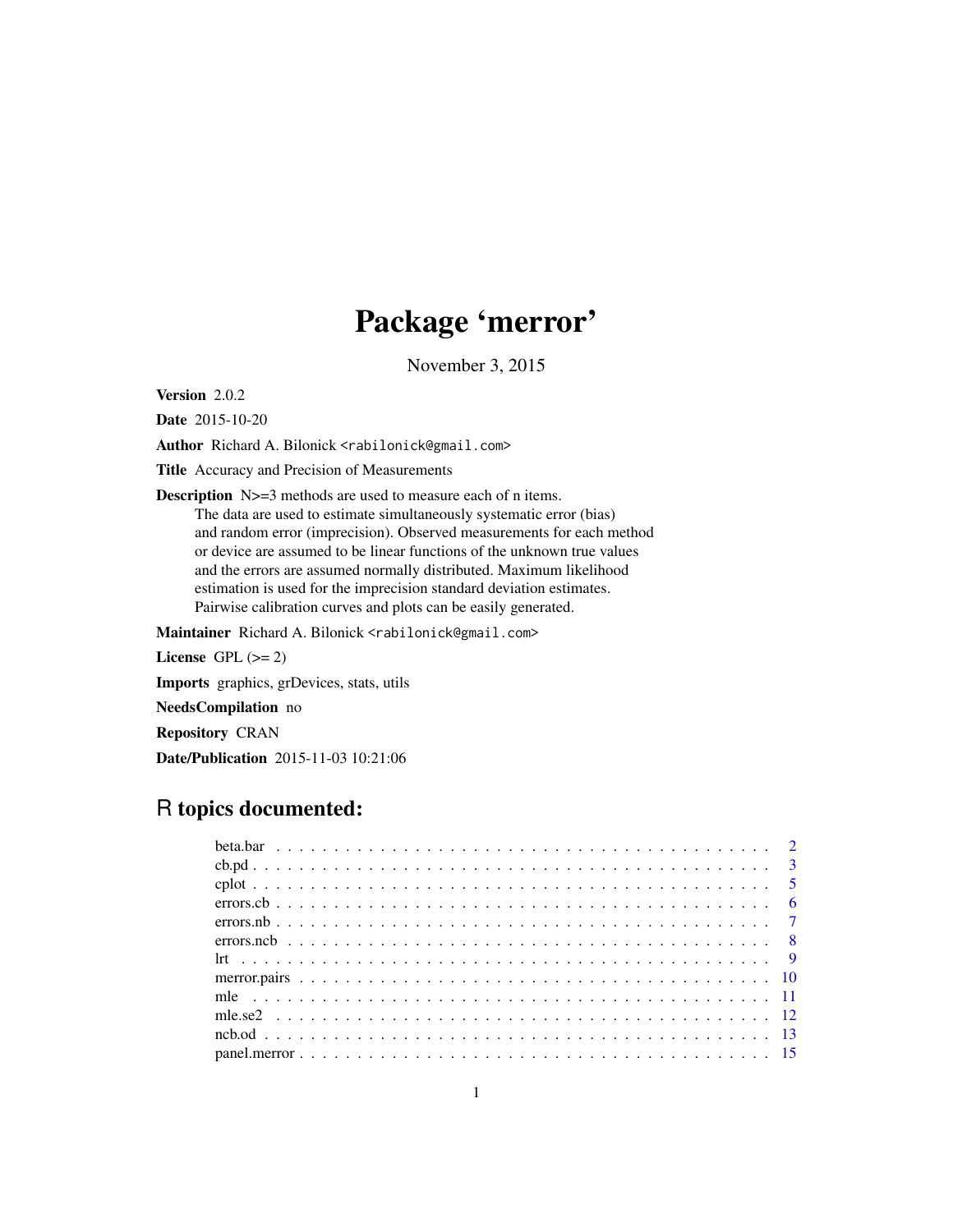# Package 'merror'

November 3, 2015

Version 2.0.2

Date 2015-10-20

Author Richard A. Bilonick <rabilonick@gmail.com>

Title Accuracy and Precision of Measurements

Description N>=3 methods are used to measure each of n items. The data are used to estimate simultaneously systematic error (bias) and random error (imprecision). Observed measurements for each method or device are assumed to be linear functions of the unknown true values and the errors are assumed normally distributed. Maximum likelihood estimation is used for the imprecision standard deviation estimates. Pairwise calibration curves and plots can be easily generated.

Maintainer Richard A. Bilonick <rabilonick@gmail.com>

```
License GPL (>= 2)
```
Imports graphics, grDevices, stats, utils

NeedsCompilation no

Repository CRAN

Date/Publication 2015-11-03 10:21:06

# R topics documented: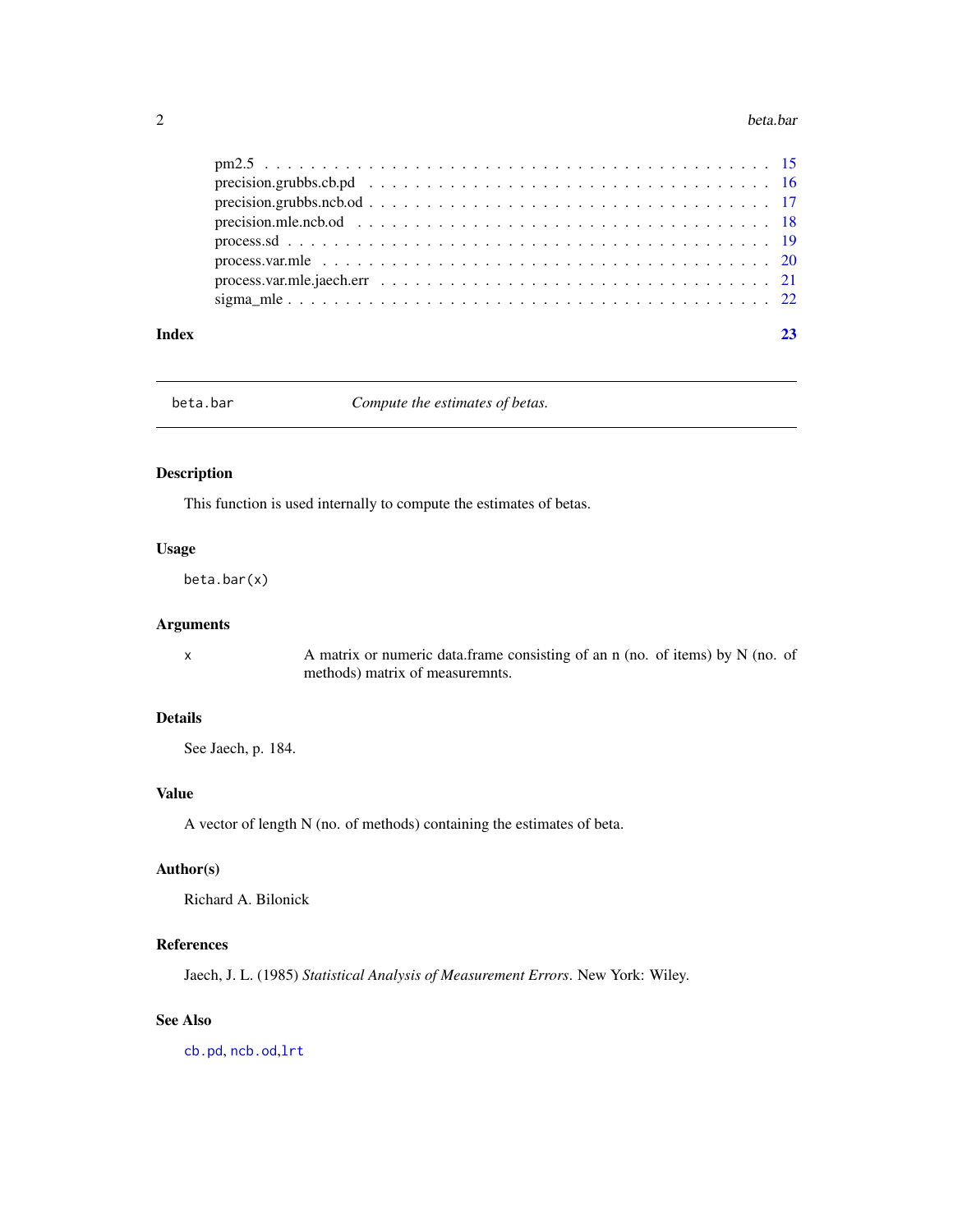#### <span id="page-1-0"></span>2 beta.bar

#### **Index** [23](#page-22-0)

beta.bar *Compute the estimates of betas.*

### Description

This function is used internally to compute the estimates of betas.

### Usage

beta.bar(x)

### Arguments

x A matrix or numeric data.frame consisting of an n (no. of items) by N (no. of methods) matrix of measuremnts.

### Details

See Jaech, p. 184.

### Value

A vector of length N (no. of methods) containing the estimates of beta.

### Author(s)

Richard A. Bilonick

### References

Jaech, J. L. (1985) *Statistical Analysis of Measurement Errors*. New York: Wiley.

# See Also

[cb.pd](#page-2-1), [ncb.od](#page-12-1),[lrt](#page-8-1)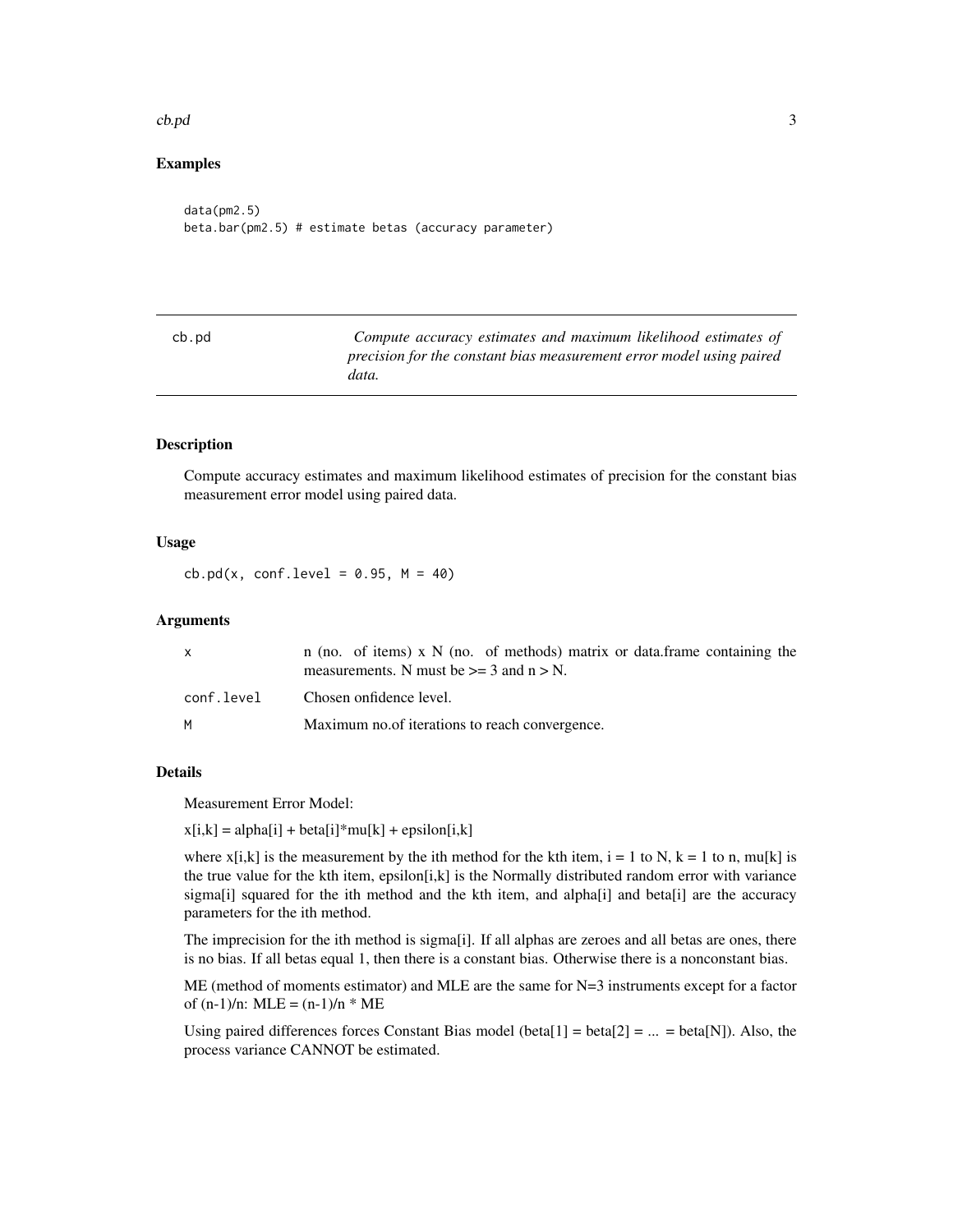#### <span id="page-2-0"></span> $\text{c}$ b.pd  $\text{c}$

### Examples

```
data(pm2.5)
beta.bar(pm2.5) # estimate betas (accuracy parameter)
```
<span id="page-2-1"></span>

| cb.pd | Compute accuracy estimates and maximum likelihood estimates of       |
|-------|----------------------------------------------------------------------|
|       | precision for the constant bias measurement error model using paired |
|       | data.                                                                |

### Description

Compute accuracy estimates and maximum likelihood estimates of precision for the constant bias measurement error model using paired data.

### Usage

 $cb.pdf(x, conf.level = 0.95, M = 40)$ 

#### **Arguments**

|            | n (no. of items) x $N$ (no. of methods) matrix or data. frame containing the<br>measurements. N must be $\geq$ = 3 and n $>$ N. |
|------------|---------------------------------------------------------------------------------------------------------------------------------|
| conf.level | Chosen onfidence level.                                                                                                         |
| м          | Maximum no. of iterations to reach convergence.                                                                                 |

#### Details

Measurement Error Model:

 $x[i,k] = alpha[i] + beta[i]*mu[k] + epsilon[i,k]$ 

where  $x[i,k]$  is the measurement by the ith method for the kth item,  $i = 1$  to N,  $k = 1$  to n, mu[k] is the true value for the kth item, epsilon[i,k] is the Normally distributed random error with variance sigma[i] squared for the ith method and the kth item, and alpha[i] and beta[i] are the accuracy parameters for the ith method.

The imprecision for the ith method is sigma[i]. If all alphas are zeroes and all betas are ones, there is no bias. If all betas equal 1, then there is a constant bias. Otherwise there is a nonconstant bias.

ME (method of moments estimator) and MLE are the same for N=3 instruments except for a factor of  $(n-1)/n$ : MLE =  $(n-1)/n$  \* ME

Using paired differences forces Constant Bias model (beta[1] = beta[2] = ... = beta[N]). Also, the process variance CANNOT be estimated.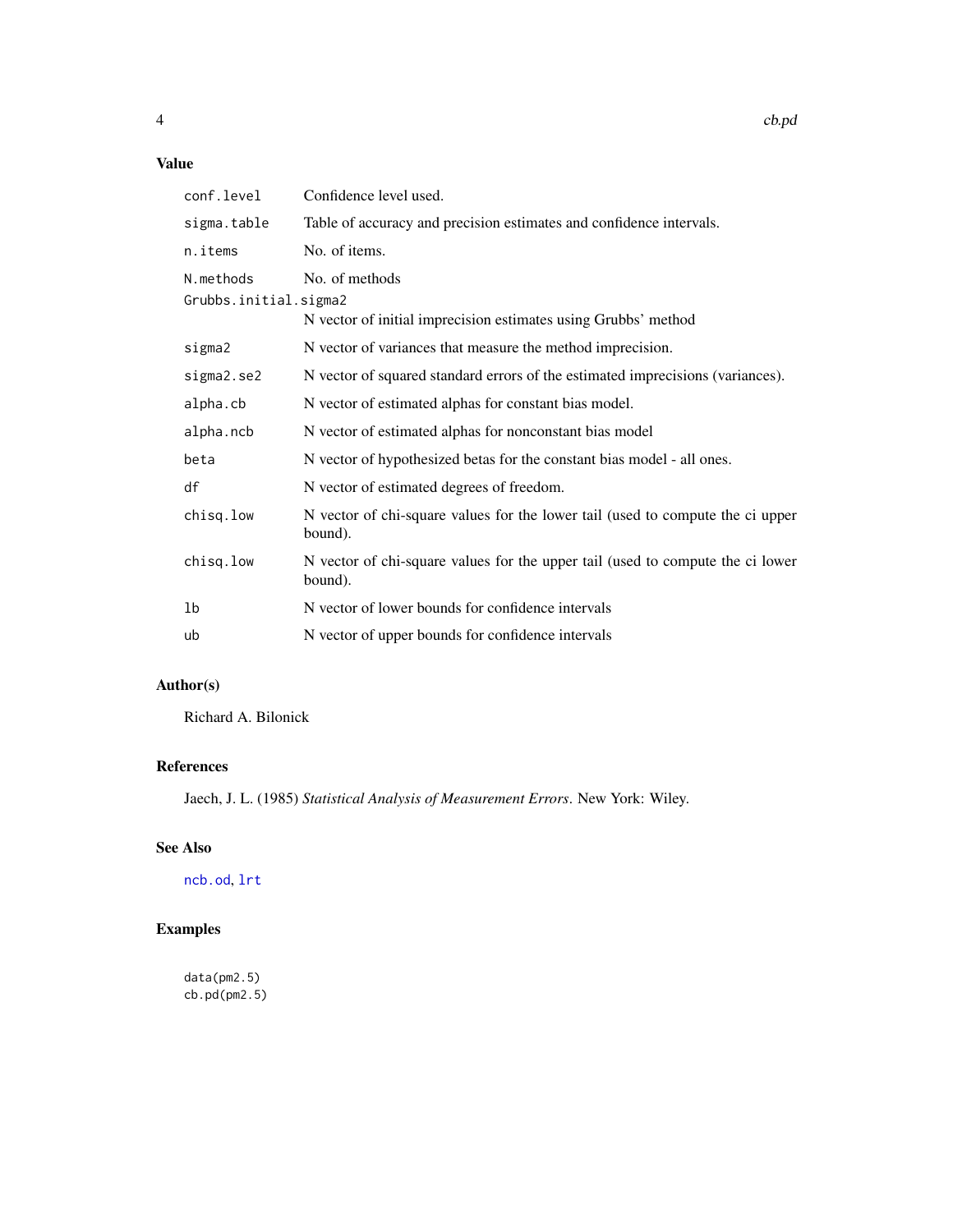# <span id="page-3-0"></span>Value

| conf.level                         | Confidence level used.                                                                    |
|------------------------------------|-------------------------------------------------------------------------------------------|
| sigma.table                        | Table of accuracy and precision estimates and confidence intervals.                       |
| n.items                            | No. of items.                                                                             |
| N.methods<br>Grubbs.initial.sigma2 | No. of methods<br>N vector of initial imprecision estimates using Grubbs' method          |
| sigma2                             | N vector of variances that measure the method imprecision.                                |
| sigma2.se2                         | N vector of squared standard errors of the estimated imprecisions (variances).            |
| alpha.cb                           | N vector of estimated alphas for constant bias model.                                     |
| alpha.ncb                          | N vector of estimated alphas for nonconstant bias model                                   |
| beta                               | N vector of hypothesized betas for the constant bias model - all ones.                    |
| df                                 | N vector of estimated degrees of freedom.                                                 |
| chisq.low                          | N vector of chi-square values for the lower tail (used to compute the ci upper<br>bound). |
| chisq.low                          | N vector of chi-square values for the upper tail (used to compute the ci lower<br>bound). |
| 1b                                 | N vector of lower bounds for confidence intervals                                         |
| ub                                 | N vector of upper bounds for confidence intervals                                         |

# Author(s)

Richard A. Bilonick

# References

Jaech, J. L. (1985) *Statistical Analysis of Measurement Errors*. New York: Wiley.

### See Also

[ncb.od](#page-12-1), [lrt](#page-8-1)

# Examples

data(pm2.5) cb.pd(pm2.5)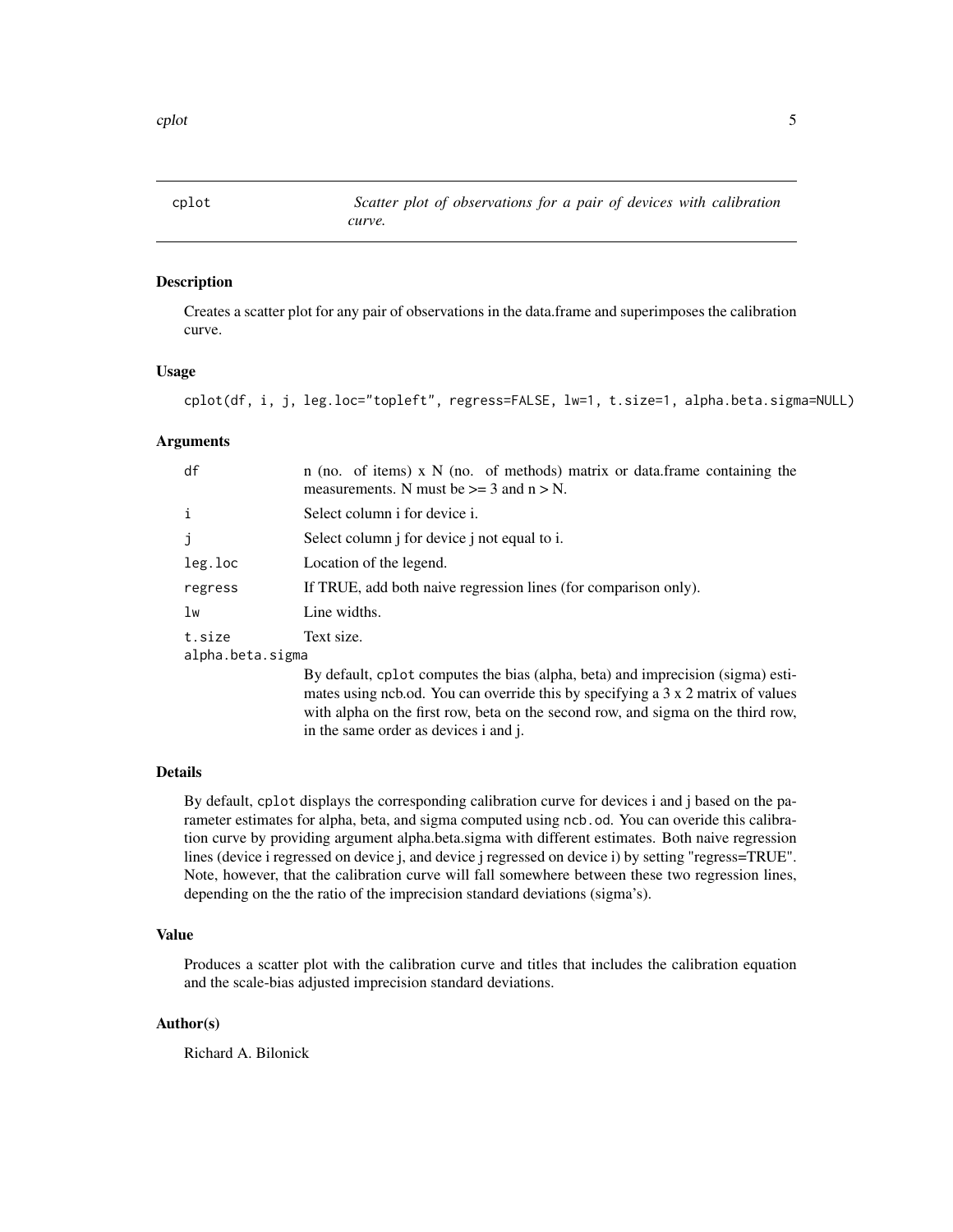<span id="page-4-1"></span><span id="page-4-0"></span>

### Description

Creates a scatter plot for any pair of observations in the data.frame and superimposes the calibration curve.

#### Usage

```
cplot(df, i, j, leg.loc="topleft", regress=FALSE, lw=1, t.size=1, alpha.beta.sigma=NULL)
```
#### Arguments

| df                         | n (no. of items) x $N$ (no. of methods) matrix or data.frame containing the<br>measurements. N must be $\geq$ = 3 and n $>$ N. |
|----------------------------|--------------------------------------------------------------------------------------------------------------------------------|
| i                          | Select column i for device i.                                                                                                  |
| j                          | Select column <i>j</i> for device <i>j</i> not equal to <i>i</i> .                                                             |
| leg.loc                    | Location of the legend.                                                                                                        |
| regress                    | If TRUE, add both naive regression lines (for comparison only).                                                                |
| lw                         | Line widths.                                                                                                                   |
| t.size<br>alpha.beta.sigma | Text size.                                                                                                                     |

By default, cplot computes the bias (alpha, beta) and imprecision (sigma) estimates using ncb.od. You can override this by specifying a 3 x 2 matrix of values with alpha on the first row, beta on the second row, and sigma on the third row, in the same order as devices i and j.

### Details

By default, cplot displays the corresponding calibration curve for devices i and j based on the parameter estimates for alpha, beta, and sigma computed using ncb.od. You can overide this calibration curve by providing argument alpha.beta.sigma with different estimates. Both naive regression lines (device i regressed on device j, and device j regressed on device i) by setting "regress=TRUE". Note, however, that the calibration curve will fall somewhere between these two regression lines, depending on the the ratio of the imprecision standard deviations (sigma's).

#### Value

Produces a scatter plot with the calibration curve and titles that includes the calibration equation and the scale-bias adjusted imprecision standard deviations.

### Author(s)

Richard A. Bilonick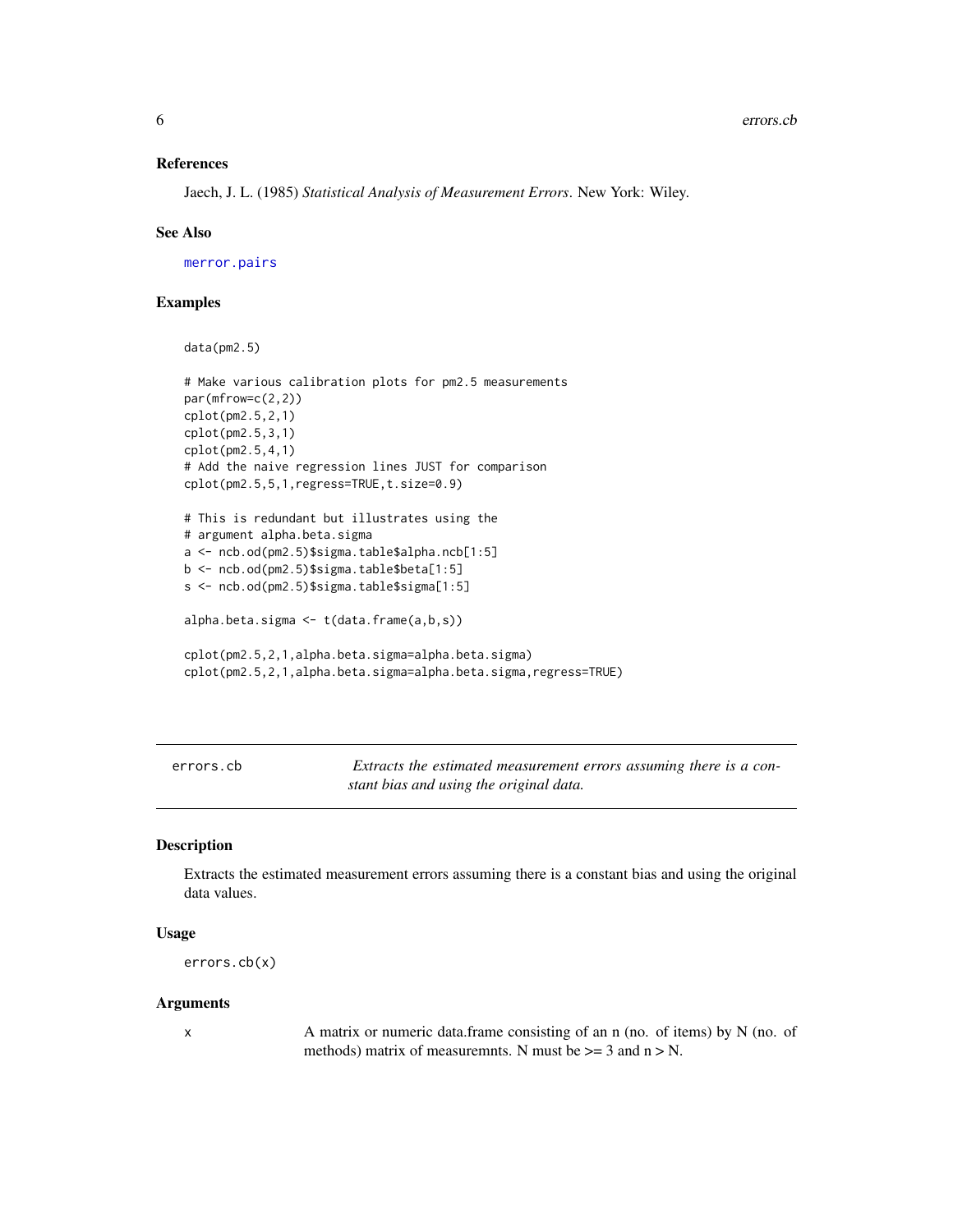#### <span id="page-5-0"></span>References

Jaech, J. L. (1985) *Statistical Analysis of Measurement Errors*. New York: Wiley.

#### See Also

[merror.pairs](#page-9-1)

### Examples

```
data(pm2.5)
```

```
# Make various calibration plots for pm2.5 measurements
par(mfrow=c(2,2))
cplot(pm2.5,2,1)
cplot(pm2.5,3,1)
cplot(pm2.5,4,1)
# Add the naive regression lines JUST for comparison
cplot(pm2.5,5,1,regress=TRUE,t.size=0.9)
# This is redundant but illustrates using the
# argument alpha.beta.sigma
a <- ncb.od(pm2.5)$sigma.table$alpha.ncb[1:5]
b <- ncb.od(pm2.5)$sigma.table$beta[1:5]
s <- ncb.od(pm2.5)$sigma.table$sigma[1:5]
alpha.beta.sigma <- t(data.frame(a,b,s))
cplot(pm2.5,2,1,alpha.beta.sigma=alpha.beta.sigma)
cplot(pm2.5,2,1,alpha.beta.sigma=alpha.beta.sigma,regress=TRUE)
```
errors.cb *Extracts the estimated measurement errors assuming there is a constant bias and using the original data.*

### **Description**

Extracts the estimated measurement errors assuming there is a constant bias and using the original data values.

### Usage

```
errors.cb(x)
```
### **Arguments**

x A matrix or numeric data.frame consisting of an n (no. of items) by N (no. of methods) matrix of measuremnts. N must be  $>= 3$  and  $n > N$ .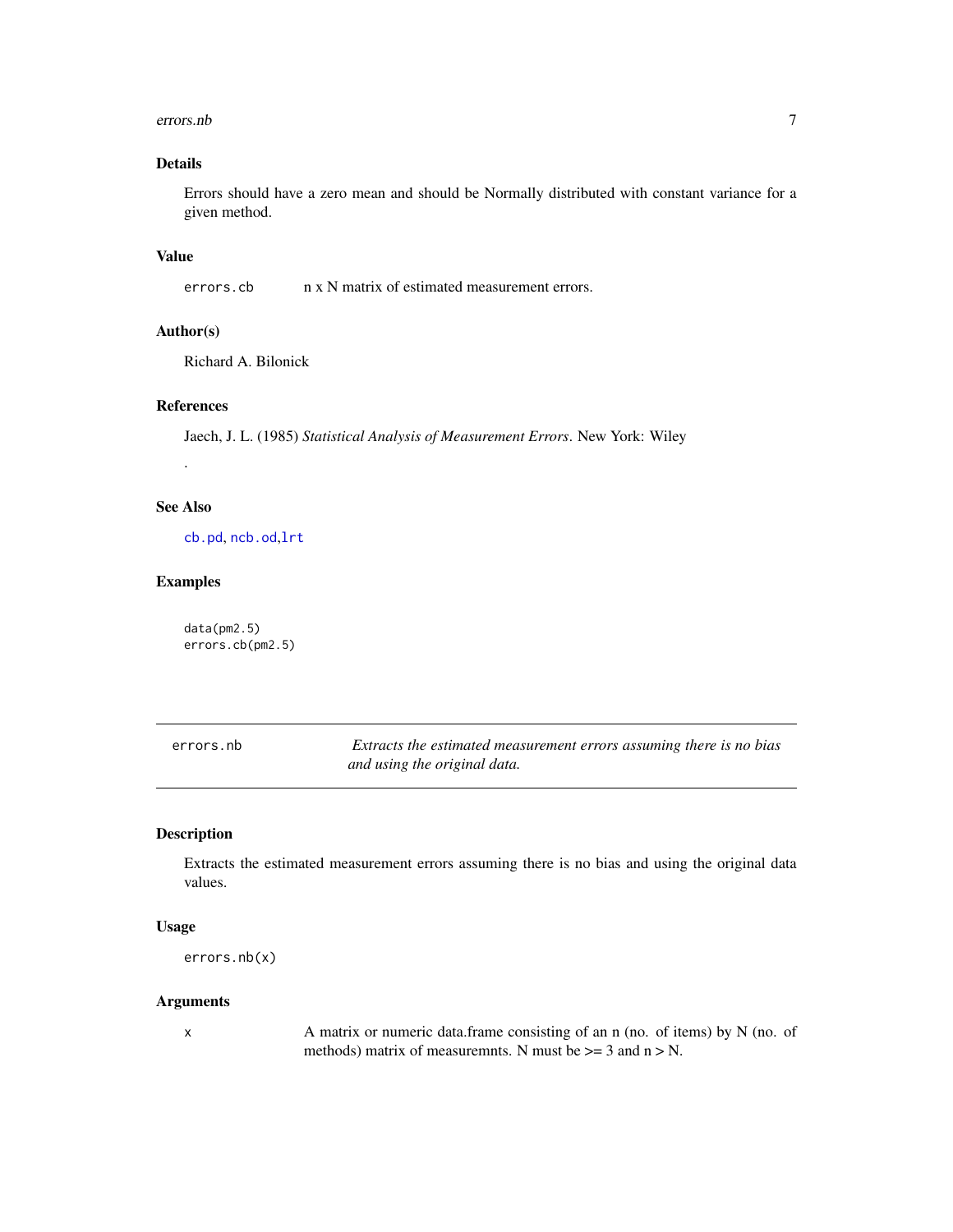#### <span id="page-6-0"></span>errors.nb 7

# Details

Errors should have a zero mean and should be Normally distributed with constant variance for a given method.

### Value

errors.cb n x N matrix of estimated measurement errors.

### Author(s)

Richard A. Bilonick

### References

Jaech, J. L. (1985) *Statistical Analysis of Measurement Errors*. New York: Wiley

.

# See Also

[cb.pd](#page-2-1), [ncb.od](#page-12-1),[lrt](#page-8-1)

### Examples

data(pm2.5) errors.cb(pm2.5)

| errors.nb | Extracts the estimated measurement errors assuming there is no bias |
|-----------|---------------------------------------------------------------------|
|           | and using the original data.                                        |

### Description

Extracts the estimated measurement errors assuming there is no bias and using the original data values.

#### Usage

```
errors.nb(x)
```
### Arguments

x A matrix or numeric data.frame consisting of an n (no. of items) by N (no. of methods) matrix of measuremnts. N must be  $\geq$  3 and n  $>$  N.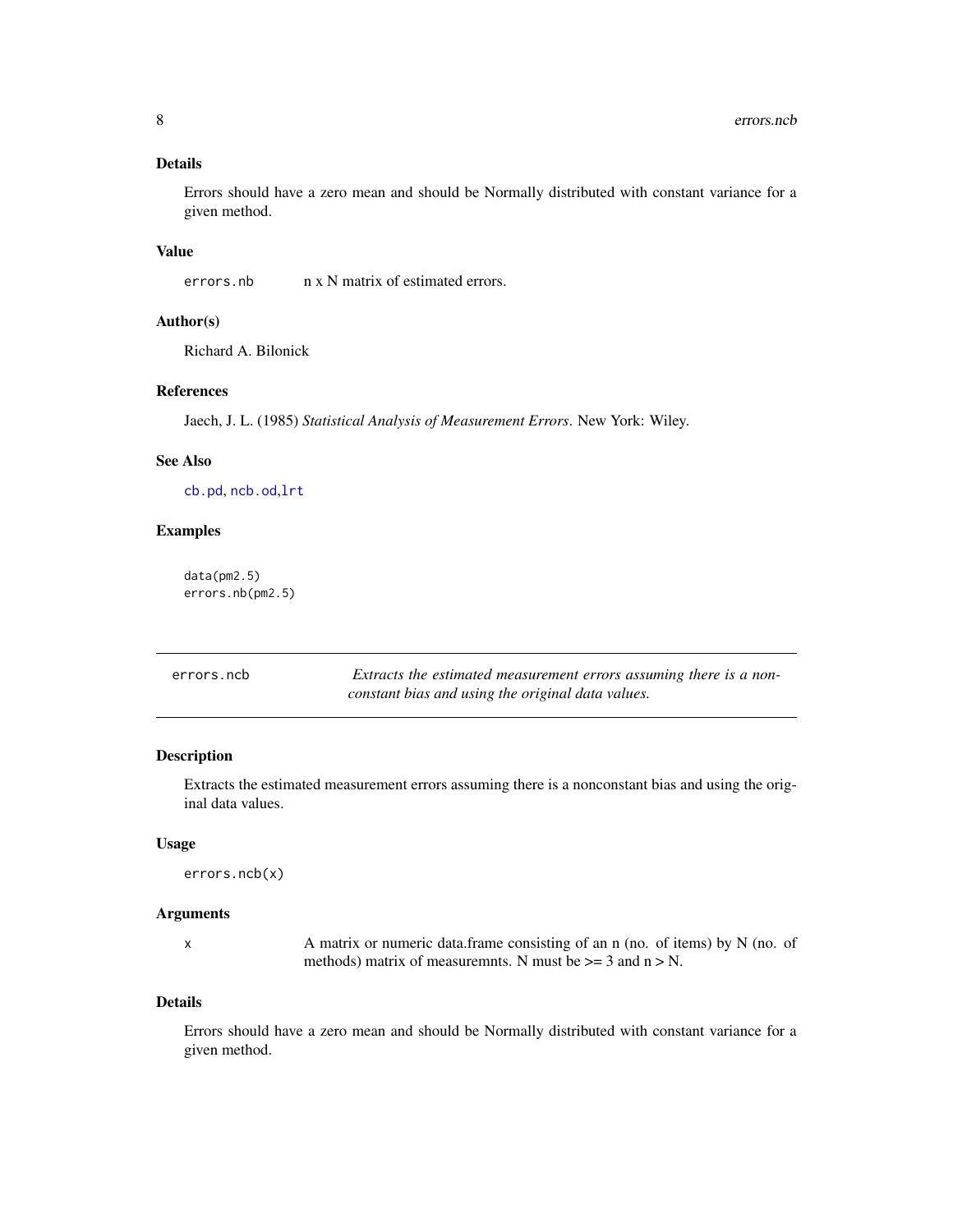### <span id="page-7-0"></span>Details

Errors should have a zero mean and should be Normally distributed with constant variance for a given method.

### Value

errors.nb n x N matrix of estimated errors.

### Author(s)

Richard A. Bilonick

#### References

Jaech, J. L. (1985) *Statistical Analysis of Measurement Errors*. New York: Wiley.

### See Also

[cb.pd](#page-2-1), [ncb.od](#page-12-1),[lrt](#page-8-1)

### Examples

data(pm2.5) errors.nb(pm2.5)

| errors.ncb | Extracts the estimated measurement errors assuming there is a non- |
|------------|--------------------------------------------------------------------|
|            | constant bias and using the original data values.                  |

#### Description

Extracts the estimated measurement errors assuming there is a nonconstant bias and using the original data values.

#### Usage

```
errors.ncb(x)
```
#### Arguments

x A matrix or numeric data.frame consisting of an n (no. of items) by N (no. of methods) matrix of measuremnts. N must be  $\geq$  = 3 and n  $>$  N.

### Details

Errors should have a zero mean and should be Normally distributed with constant variance for a given method.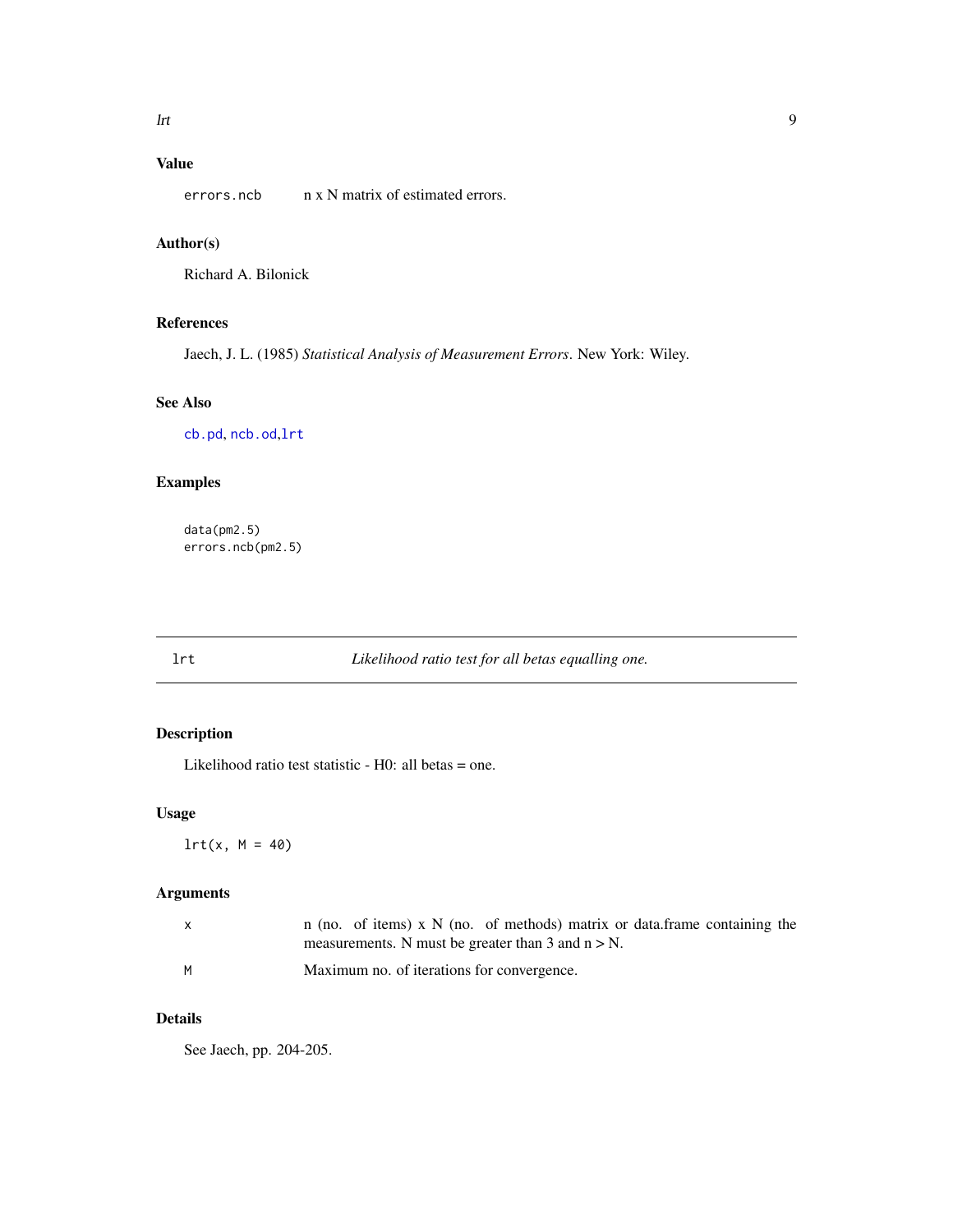# <span id="page-8-0"></span>Value

errors.ncb n x N matrix of estimated errors.

### Author(s)

Richard A. Bilonick

### References

Jaech, J. L. (1985) *Statistical Analysis of Measurement Errors*. New York: Wiley.

# See Also

[cb.pd](#page-2-1), [ncb.od](#page-12-1),[lrt](#page-8-1)

# Examples

data(pm2.5) errors.ncb(pm2.5)

# <span id="page-8-1"></span>lrt *Likelihood ratio test for all betas equalling one.*

# Description

Likelihood ratio test statistic - H0: all betas = one.

### Usage

 $lrt(x, M = 40)$ 

### Arguments

|   | n (no. of items) x $N$ (no. of methods) matrix or data. frame containing the |
|---|------------------------------------------------------------------------------|
|   | measurements. N must be greater than 3 and $n > N$ .                         |
| м | Maximum no. of iterations for convergence.                                   |

# Details

See Jaech, pp. 204-205.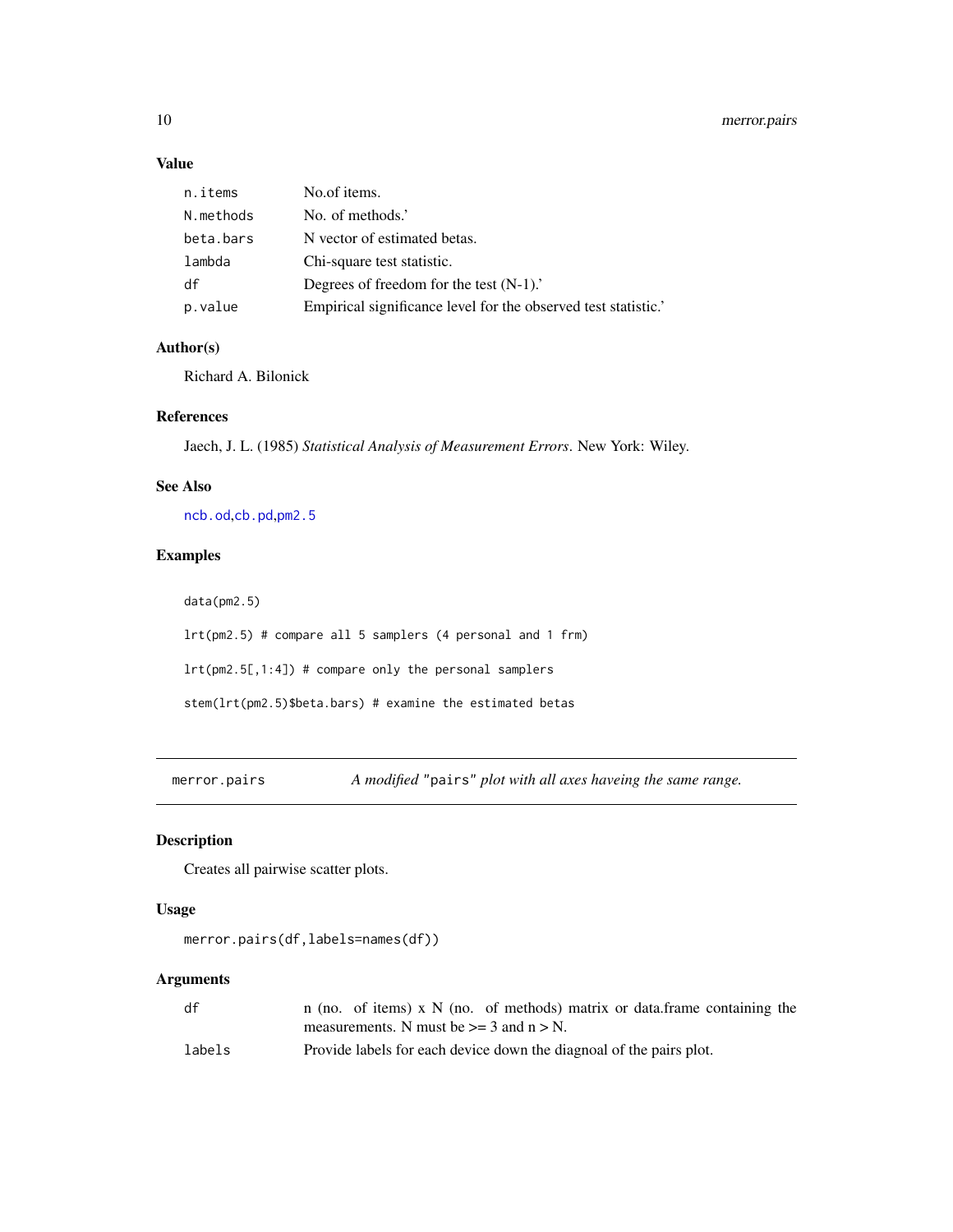### Value

| n.items   | No.of items.                                                   |
|-----------|----------------------------------------------------------------|
| N.methods | No. of methods.'                                               |
| beta.bars | N vector of estimated betas.                                   |
| lambda    | Chi-square test statistic.                                     |
| df        | Degrees of freedom for the test $(N-1)$ .                      |
| p.value   | Empirical significance level for the observed test statistic.' |

### Author(s)

Richard A. Bilonick

### References

Jaech, J. L. (1985) *Statistical Analysis of Measurement Errors*. New York: Wiley.

### See Also

[ncb.od](#page-12-1),[cb.pd](#page-2-1),[pm2.5](#page-14-1)

# Examples

data(pm2.5)

lrt(pm2.5) # compare all 5 samplers (4 personal and 1 frm)

lrt(pm2.5[,1:4]) # compare only the personal samplers

stem(lrt(pm2.5)\$beta.bars) # examine the estimated betas

<span id="page-9-1"></span>merror.pairs *A modified* "pairs" *plot with all axes haveing the same range.*

## Description

Creates all pairwise scatter plots.

### Usage

```
merror.pairs(df,labels=names(df))
```
### Arguments

| df     | n (no. of items) x $N$ (no. of methods) matrix or data frame containing the |
|--------|-----------------------------------------------------------------------------|
|        | measurements. N must be $\geq$ 3 and n > N.                                 |
| labels | Provide labels for each device down the diagnoal of the pairs plot.         |

<span id="page-9-0"></span>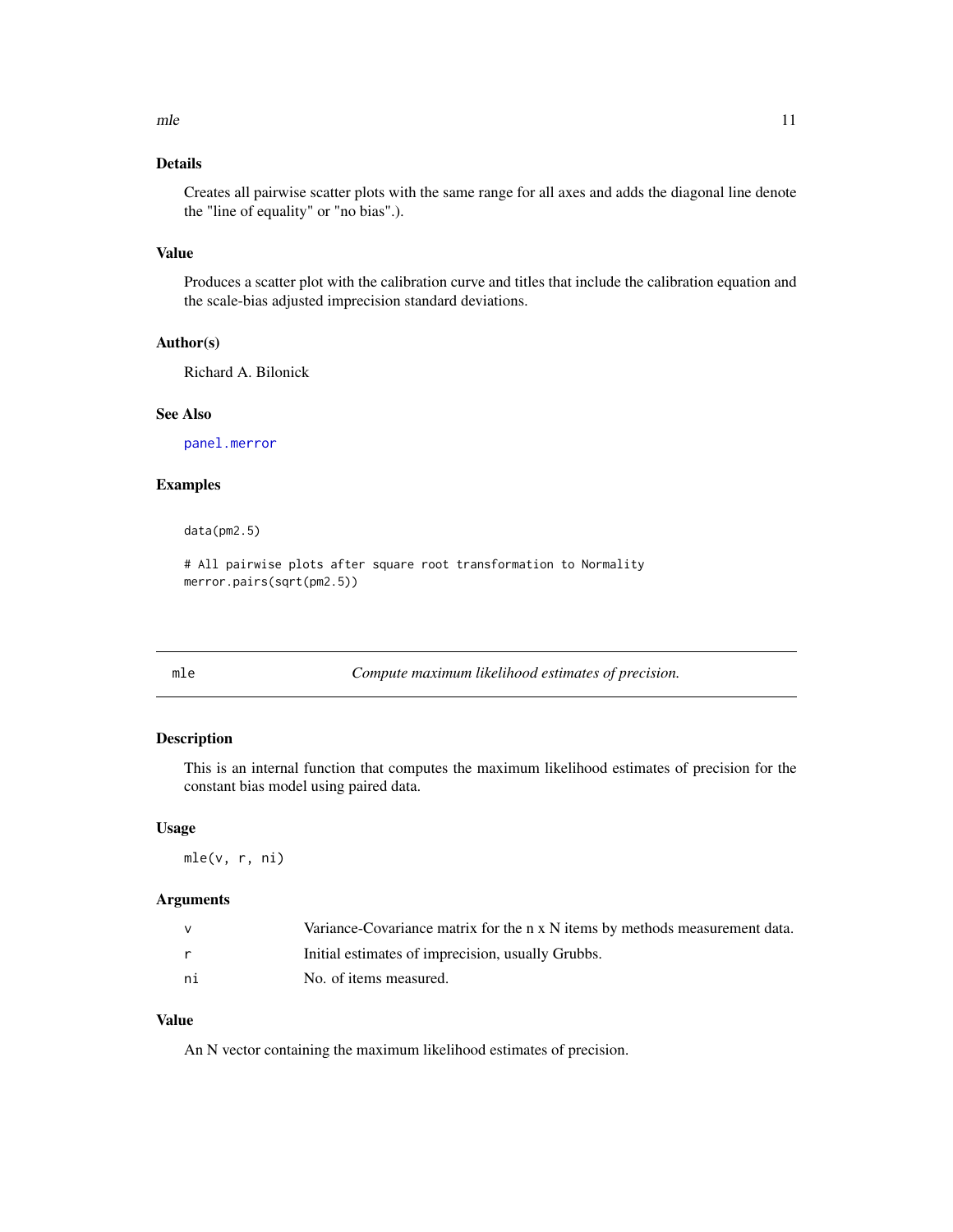### <span id="page-10-0"></span>Details

Creates all pairwise scatter plots with the same range for all axes and adds the diagonal line denote the "line of equality" or "no bias".).

### Value

Produces a scatter plot with the calibration curve and titles that include the calibration equation and the scale-bias adjusted imprecision standard deviations.

### Author(s)

Richard A. Bilonick

#### See Also

[panel.merror](#page-14-2)

### Examples

data(pm2.5)

# All pairwise plots after square root transformation to Normality merror.pairs(sqrt(pm2.5))

mle *Compute maximum likelihood estimates of precision.* 

#### Description

This is an internal function that computes the maximum likelihood estimates of precision for the constant bias model using paired data.

#### Usage

mle(v, r, ni)

### Arguments

|    | Variance-Covariance matrix for the n x N items by methods measurement data. |
|----|-----------------------------------------------------------------------------|
|    | Initial estimates of imprecision, usually Grubbs.                           |
| ni | No. of items measured.                                                      |

### Value

An N vector containing the maximum likelihood estimates of precision.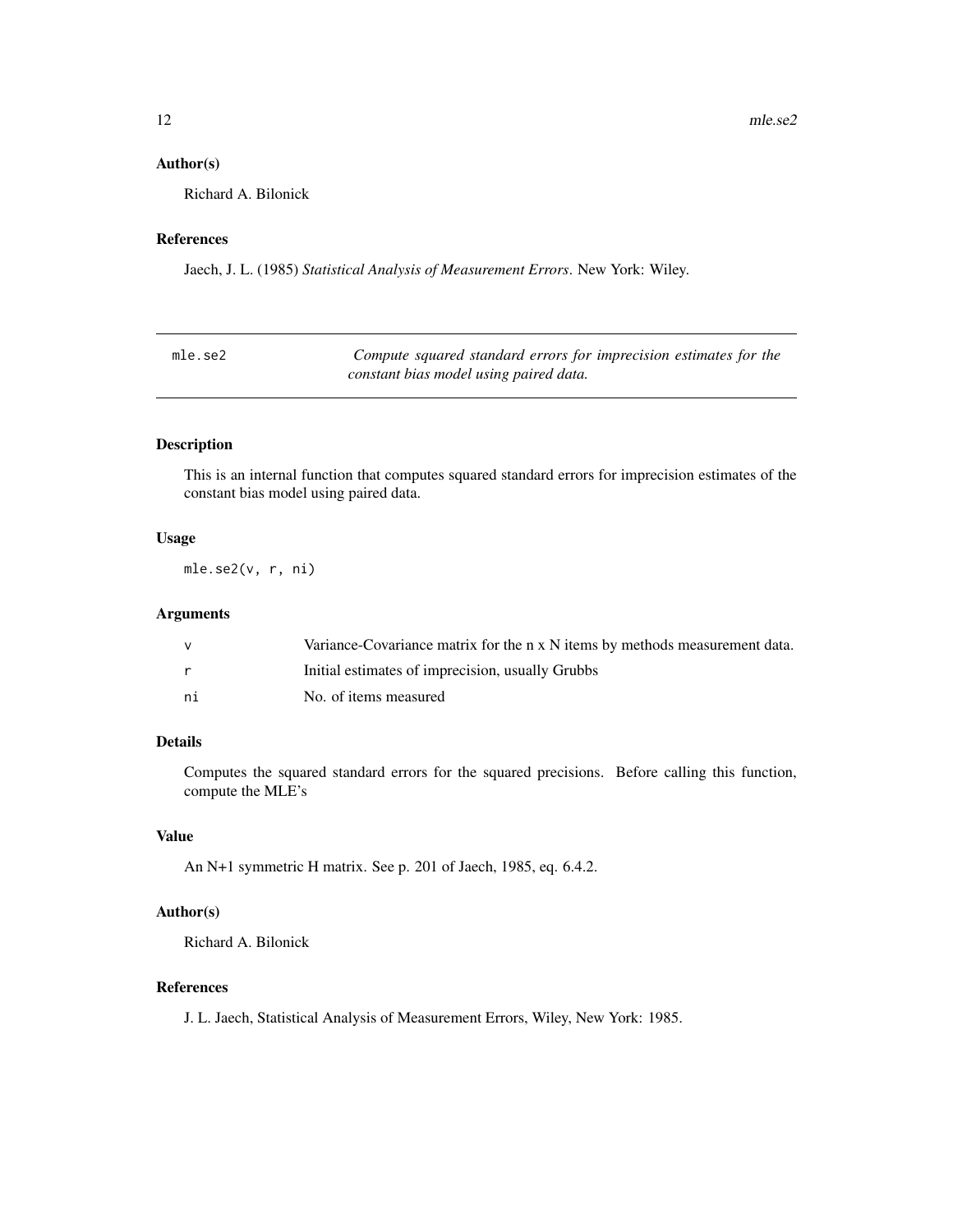### <span id="page-11-0"></span>Author(s)

Richard A. Bilonick

### References

Jaech, J. L. (1985) *Statistical Analysis of Measurement Errors*. New York: Wiley.

| mle.se2 | Compute squared standard errors for imprecision estimates for the |
|---------|-------------------------------------------------------------------|
|         | constant bias model using paired data.                            |

### Description

This is an internal function that computes squared standard errors for imprecision estimates of the constant bias model using paired data.

### Usage

mle.se2(v, r, ni)

### Arguments

|    | Variance-Covariance matrix for the n x N items by methods measurement data. |
|----|-----------------------------------------------------------------------------|
|    | Initial estimates of imprecision, usually Grubbs                            |
| ni | No. of items measured                                                       |

### Details

Computes the squared standard errors for the squared precisions. Before calling this function, compute the MLE's

### Value

An N+1 symmetric H matrix. See p. 201 of Jaech, 1985, eq. 6.4.2.

#### Author(s)

Richard A. Bilonick

### References

J. L. Jaech, Statistical Analysis of Measurement Errors, Wiley, New York: 1985.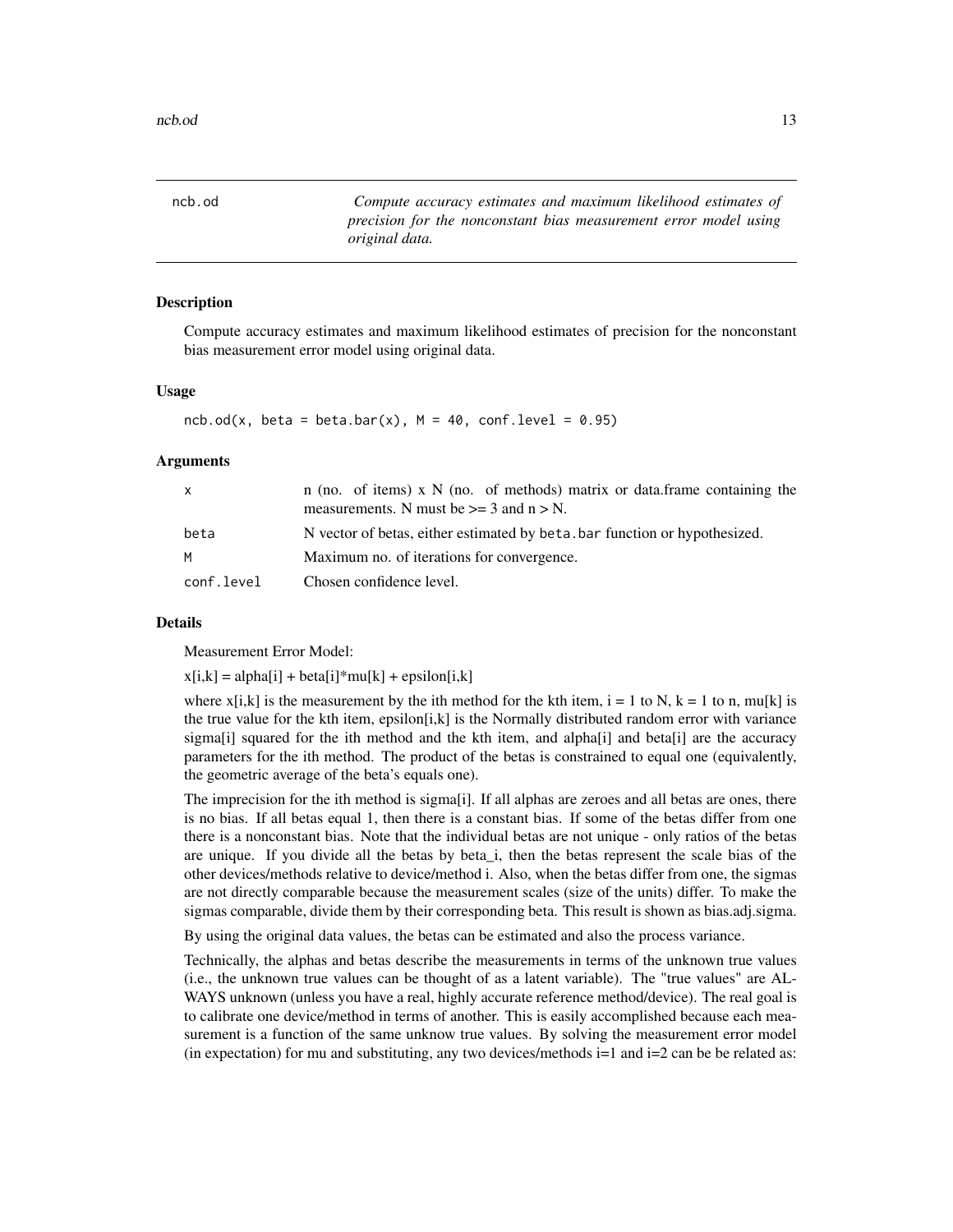<span id="page-12-1"></span><span id="page-12-0"></span>ncb.od *Compute accuracy estimates and maximum likelihood estimates of precision for the nonconstant bias measurement error model using original data.*

#### Description

Compute accuracy estimates and maximum likelihood estimates of precision for the nonconstant bias measurement error model using original data.

#### Usage

```
ncb.od(x, beta = beta.bar(x), M = 40, conf.level = 0.95)
```
#### Arguments

| $\mathbf{x}$ | n (no. of items) x $N$ (no. of methods) matrix or data.frame containing the<br>measurements. N must be $\geq$ 3 and n $>$ N. |
|--------------|------------------------------------------------------------------------------------------------------------------------------|
| beta         | N vector of betas, either estimated by beta bar function or hypothesized.                                                    |
| M            | Maximum no. of iterations for convergence.                                                                                   |
| conf.level   | Chosen confidence level.                                                                                                     |

#### Details

Measurement Error Model:

 $x[i,k] = alpha[i] + beta[i]*mu[k] + epsilon[i,k]$ 

where  $x[i,k]$  is the measurement by the ith method for the kth item,  $i = 1$  to N,  $k = 1$  to n, mu[k] is the true value for the kth item, epsilon $[i,k]$  is the Normally distributed random error with variance sigma[i] squared for the ith method and the kth item, and alpha[i] and beta[i] are the accuracy parameters for the ith method. The product of the betas is constrained to equal one (equivalently, the geometric average of the beta's equals one).

The imprecision for the ith method is sigma[i]. If all alphas are zeroes and all betas are ones, there is no bias. If all betas equal 1, then there is a constant bias. If some of the betas differ from one there is a nonconstant bias. Note that the individual betas are not unique - only ratios of the betas are unique. If you divide all the betas by beta\_i, then the betas represent the scale bias of the other devices/methods relative to device/method i. Also, when the betas differ from one, the sigmas are not directly comparable because the measurement scales (size of the units) differ. To make the sigmas comparable, divide them by their corresponding beta. This result is shown as bias.adj.sigma.

By using the original data values, the betas can be estimated and also the process variance.

Technically, the alphas and betas describe the measurements in terms of the unknown true values (i.e., the unknown true values can be thought of as a latent variable). The "true values" are AL-WAYS unknown (unless you have a real, highly accurate reference method/device). The real goal is to calibrate one device/method in terms of another. This is easily accomplished because each measurement is a function of the same unknow true values. By solving the measurement error model (in expectation) for mu and substituting, any two devices/methods  $i=1$  and  $i=2$  can be be related as: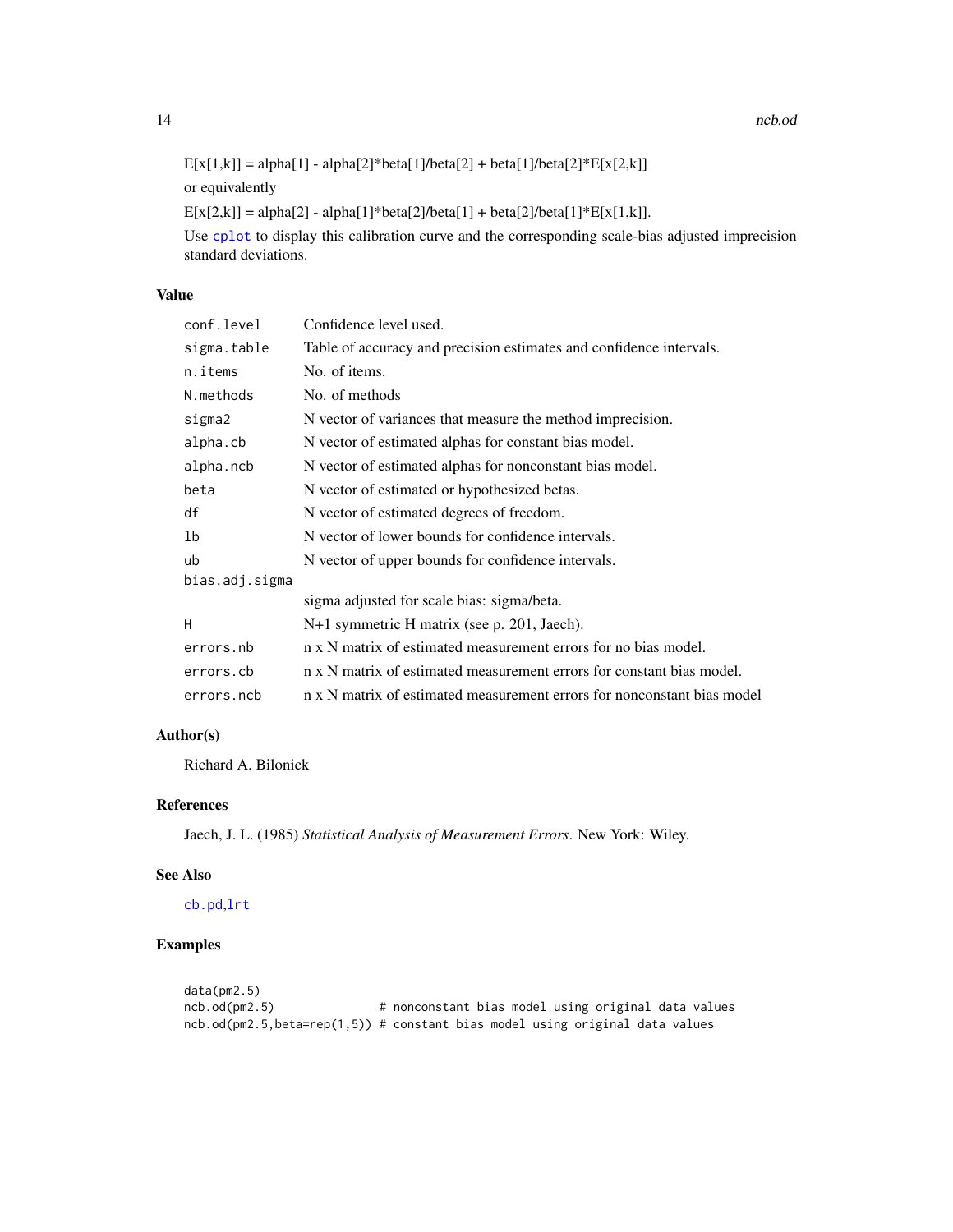<span id="page-13-0"></span>14 ncb.od news and the state of the state of the state of the state of the state of the state of the state of the state of the state of the state of the state of the state of the state of the state of the state of the stat

```
E[x[1,k]] = alpha[1] - alpha[2]*beta[1]/beta[2] + beta[1]/beta[2]*E[x[2,k]]or equivalently
```

```
E[x[2,k]] = alpha[2] - alpha[1]*beta[2]/beta[1] + beta[2]/beta[1]*E[x[1,k]].
```
Use [cplot](#page-4-1) to display this calibration curve and the corresponding scale-bias adjusted imprecision standard deviations.

### Value

| conf.level     | Confidence level used.                                                  |
|----------------|-------------------------------------------------------------------------|
| sigma.table    | Table of accuracy and precision estimates and confidence intervals.     |
| n.items        | No. of items.                                                           |
| N.methods      | No. of methods                                                          |
| sigma2         | N vector of variances that measure the method imprecision.              |
| alpha.cb       | N vector of estimated alphas for constant bias model.                   |
| alpha.ncb      | N vector of estimated alphas for nonconstant bias model.                |
| beta           | N vector of estimated or hypothesized betas.                            |
| df             | N vector of estimated degrees of freedom.                               |
| 1b             | N vector of lower bounds for confidence intervals.                      |
| ub             | N vector of upper bounds for confidence intervals.                      |
| bias.adj.sigma |                                                                         |
|                | sigma adjusted for scale bias: sigma/beta.                              |
| н              | N+1 symmetric H matrix (see p. 201, Jaech).                             |
| errors.nb      | n x N matrix of estimated measurement errors for no bias model.         |
| errors.cb      | n x N matrix of estimated measurement errors for constant bias model.   |
| errors.ncb     | n x N matrix of estimated measurement errors for nonconstant bias model |

# Author(s)

Richard A. Bilonick

### References

Jaech, J. L. (1985) *Statistical Analysis of Measurement Errors*. New York: Wiley.

#### See Also

[cb.pd](#page-2-1),[lrt](#page-8-1)

### Examples

```
data(pm2.5)
ncb.od(pm2.5) # nonconstant bias model using original data values
ncb.od(pm2.5,beta=rep(1,5)) # constant bias model using original data values
```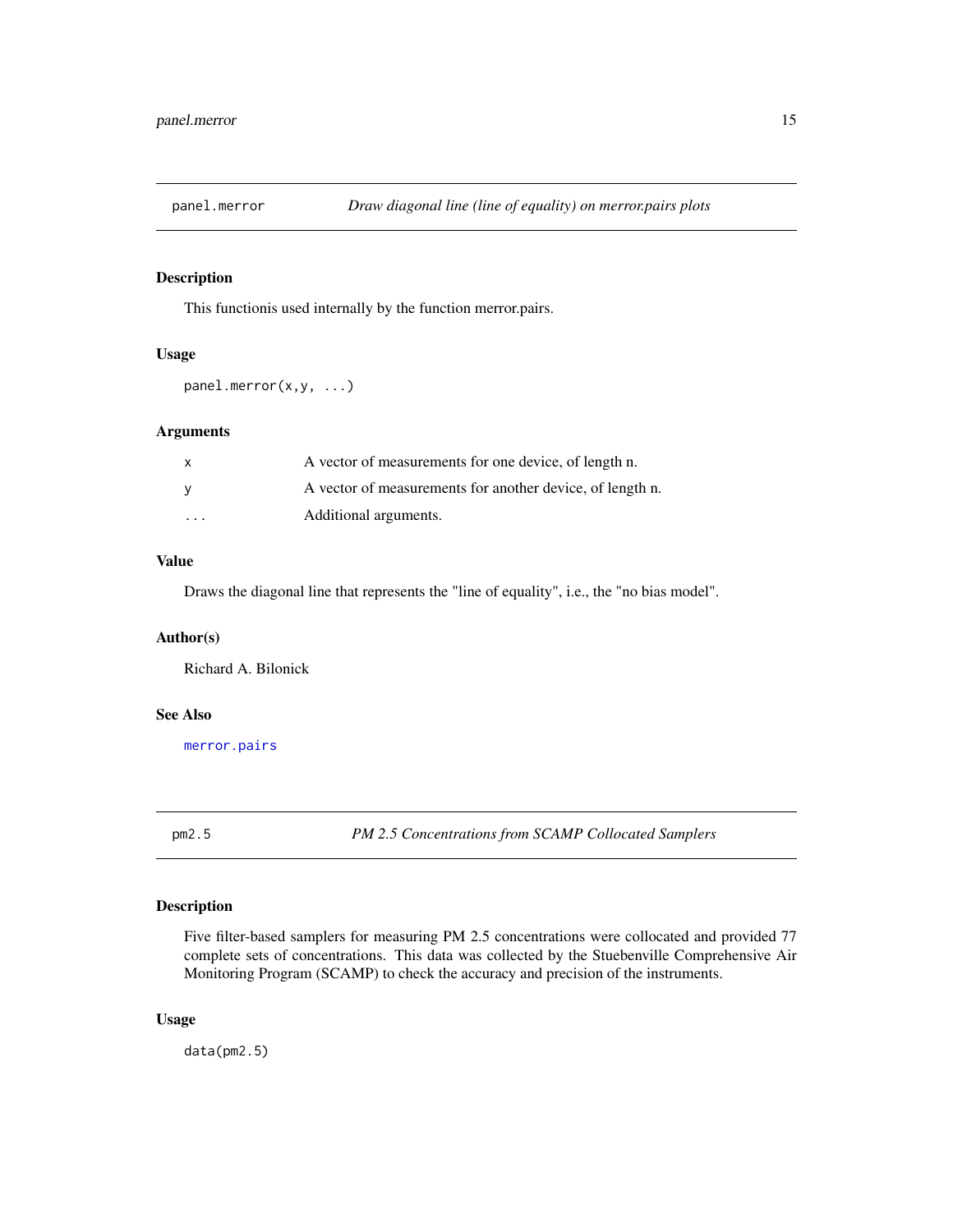<span id="page-14-2"></span><span id="page-14-0"></span>

### Description

This functionis used internally by the function merror.pairs.

#### Usage

```
panel.merror(x,y, ...)
```
### Arguments

| $\mathsf{x}$            | A vector of measurements for one device, of length n.     |
|-------------------------|-----------------------------------------------------------|
| - V                     | A vector of measurements for another device, of length n. |
| $\cdot$ $\cdot$ $\cdot$ | Additional arguments.                                     |

### Value

Draws the diagonal line that represents the "line of equality", i.e., the "no bias model".

### Author(s)

Richard A. Bilonick

#### See Also

[merror.pairs](#page-9-1)

<span id="page-14-1"></span>pm2.5 *PM 2.5 Concentrations from SCAMP Collocated Samplers*

### Description

Five filter-based samplers for measuring PM 2.5 concentrations were collocated and provided 77 complete sets of concentrations. This data was collected by the Stuebenville Comprehensive Air Monitoring Program (SCAMP) to check the accuracy and precision of the instruments.

### Usage

data(pm2.5)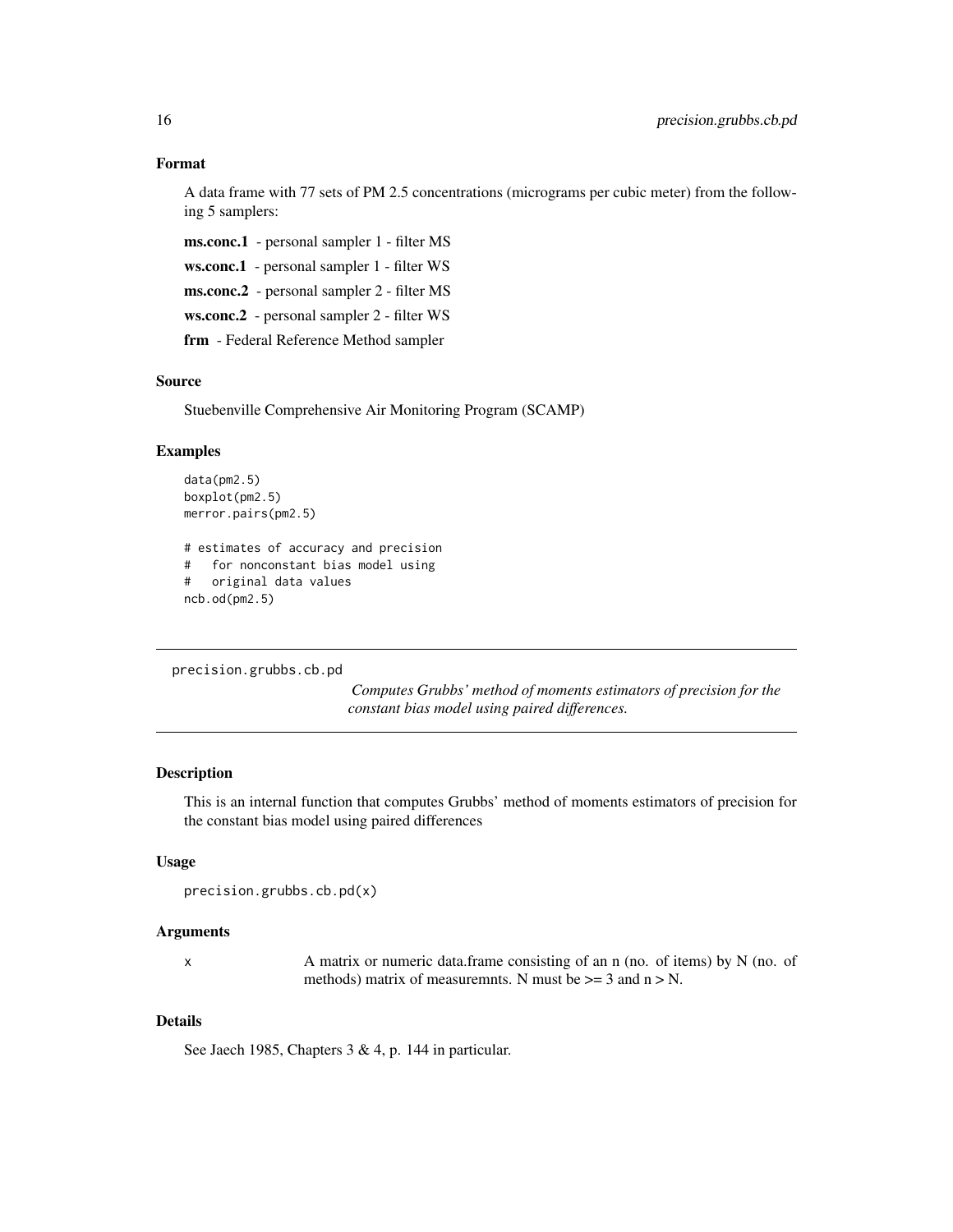### <span id="page-15-0"></span>Format

A data frame with 77 sets of PM 2.5 concentrations (micrograms per cubic meter) from the following 5 samplers:

ms.conc.1 - personal sampler 1 - filter MS

ws.conc.1 - personal sampler 1 - filter WS

ms.conc.2 - personal sampler 2 - filter MS

ws.conc.2 - personal sampler 2 - filter WS

frm - Federal Reference Method sampler

#### Source

Stuebenville Comprehensive Air Monitoring Program (SCAMP)

### Examples

```
data(pm2.5)
boxplot(pm2.5)
merror.pairs(pm2.5)
# estimates of accuracy and precision
# for nonconstant bias model using
# original data values
ncb.od(pm2.5)
```

```
precision.grubbs.cb.pd
```
*Computes Grubbs' method of moments estimators of precision for the constant bias model using paired differences.*

### Description

This is an internal function that computes Grubbs' method of moments estimators of precision for the constant bias model using paired differences

### Usage

```
precision.grubbs.cb.pd(x)
```
#### Arguments

x A matrix or numeric data.frame consisting of an n (no. of items) by N (no. of methods) matrix of measuremnts. N must be  $\geq$  3 and n  $>$  N.

### Details

See Jaech 1985, Chapters 3 & 4, p. 144 in particular.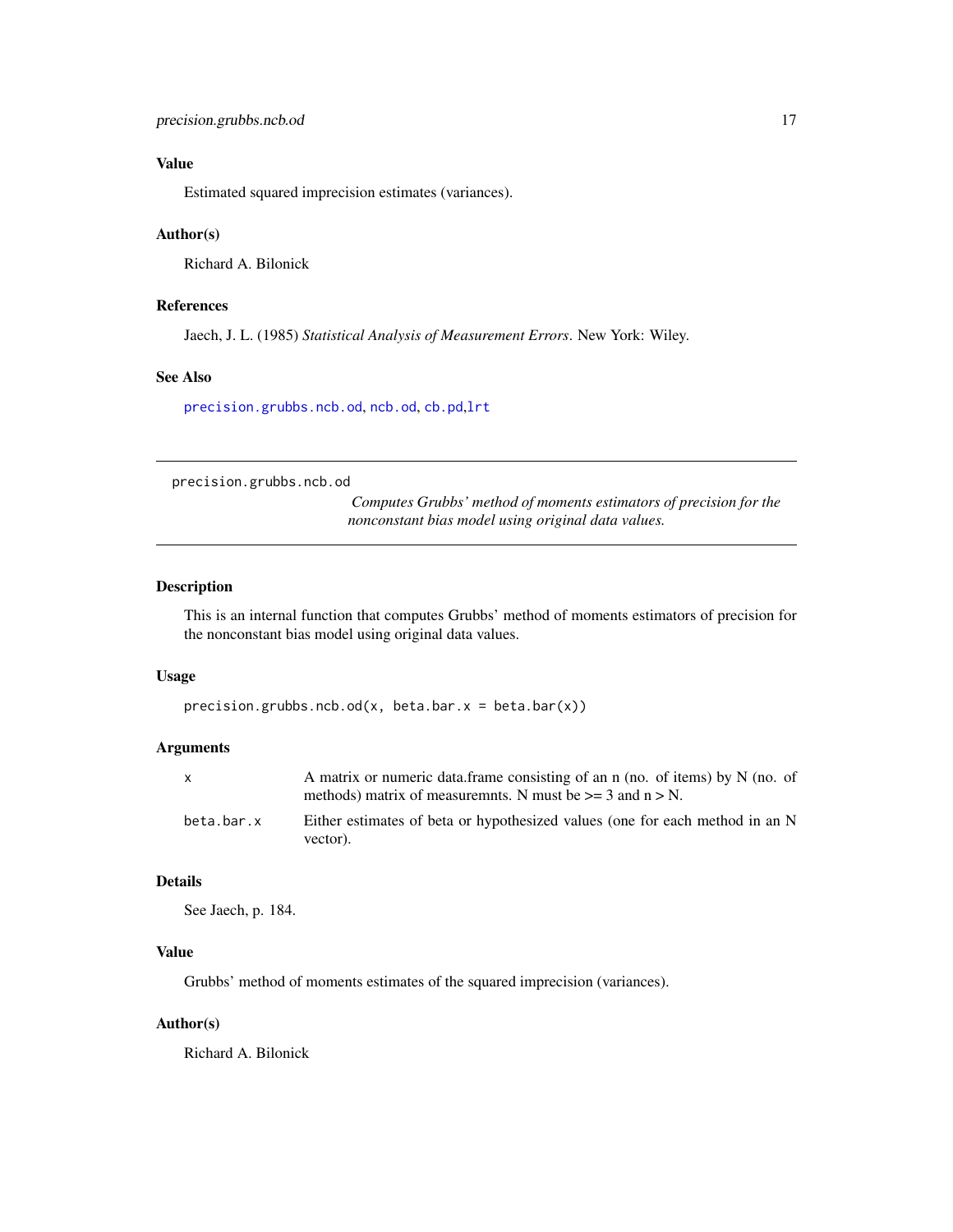# <span id="page-16-0"></span>Value

Estimated squared imprecision estimates (variances).

#### Author(s)

Richard A. Bilonick

### References

Jaech, J. L. (1985) *Statistical Analysis of Measurement Errors*. New York: Wiley.

### See Also

[precision.grubbs.ncb.od](#page-16-1), [ncb.od](#page-12-1), [cb.pd](#page-2-1),[lrt](#page-8-1)

<span id="page-16-1"></span>precision.grubbs.ncb.od

*Computes Grubbs' method of moments estimators of precision for the nonconstant bias model using original data values.*

#### Description

This is an internal function that computes Grubbs' method of moments estimators of precision for the nonconstant bias model using original data values.

#### Usage

```
precision.grubbs.net. od(x, beta.bar.x = beta.bar(x))
```
#### Arguments

| X          | A matrix or numeric data.frame consisting of an n (no. of items) by N (no. of<br>methods) matrix of measuremnts. N must be $\geq$ 3 and n $>$ N. |
|------------|--------------------------------------------------------------------------------------------------------------------------------------------------|
| beta.bar.x | Either estimates of beta or hypothesized values (one for each method in an N<br>vector).                                                         |

### Details

See Jaech, p. 184.

### Value

Grubbs' method of moments estimates of the squared imprecision (variances).

### Author(s)

Richard A. Bilonick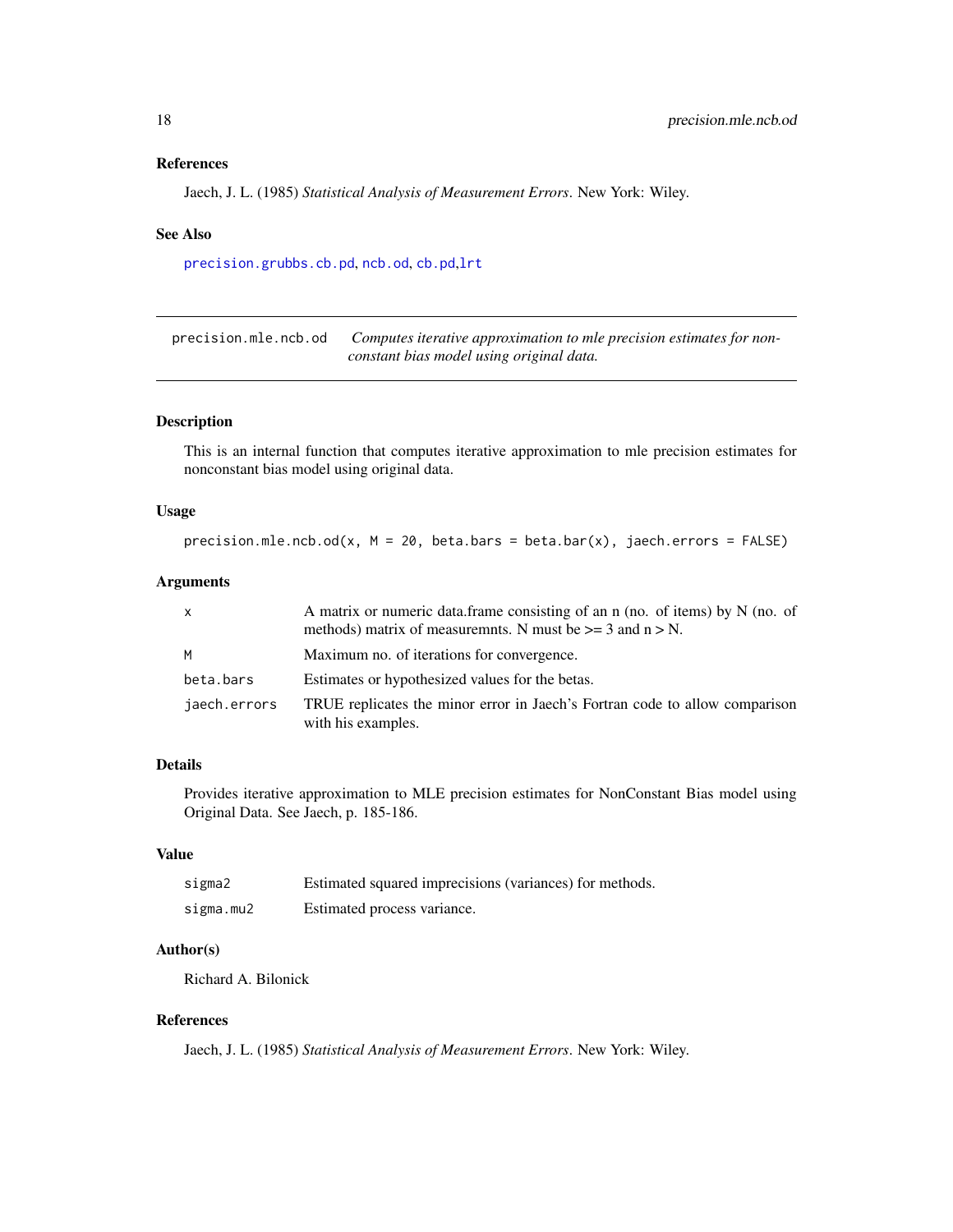#### <span id="page-17-0"></span>References

Jaech, J. L. (1985) *Statistical Analysis of Measurement Errors*. New York: Wiley.

#### See Also

[precision.grubbs.cb.pd](#page-15-1), [ncb.od](#page-12-1), [cb.pd](#page-2-1),[lrt](#page-8-1)

precision.mle.ncb.od *Computes iterative approximation to mle precision estimates for nonconstant bias model using original data.*

### Description

This is an internal function that computes iterative approximation to mle precision estimates for nonconstant bias model using original data.

### Usage

precision.mle.ncb.od(x,  $M = 20$ , beta.bars = beta.bar(x), jaech.errors = FALSE)

### Arguments

| X            | A matrix or numeric data frame consisting of an n (no. of items) by $N$ (no. of<br>methods) matrix of measuremnts. N must be $>= 3$ and $n > N$ . |
|--------------|---------------------------------------------------------------------------------------------------------------------------------------------------|
| M            | Maximum no. of iterations for convergence.                                                                                                        |
| beta.bars    | Estimates or hypothesized values for the betas.                                                                                                   |
| jaech.errors | TRUE replicates the minor error in Jaech's Fortran code to allow comparison<br>with his examples.                                                 |

### Details

Provides iterative approximation to MLE precision estimates for NonConstant Bias model using Original Data. See Jaech, p. 185-186.

#### Value

| sigma2    | Estimated squared imprecisions (variances) for methods. |
|-----------|---------------------------------------------------------|
| sigma.mu2 | Estimated process variance.                             |

### Author(s)

Richard A. Bilonick

### References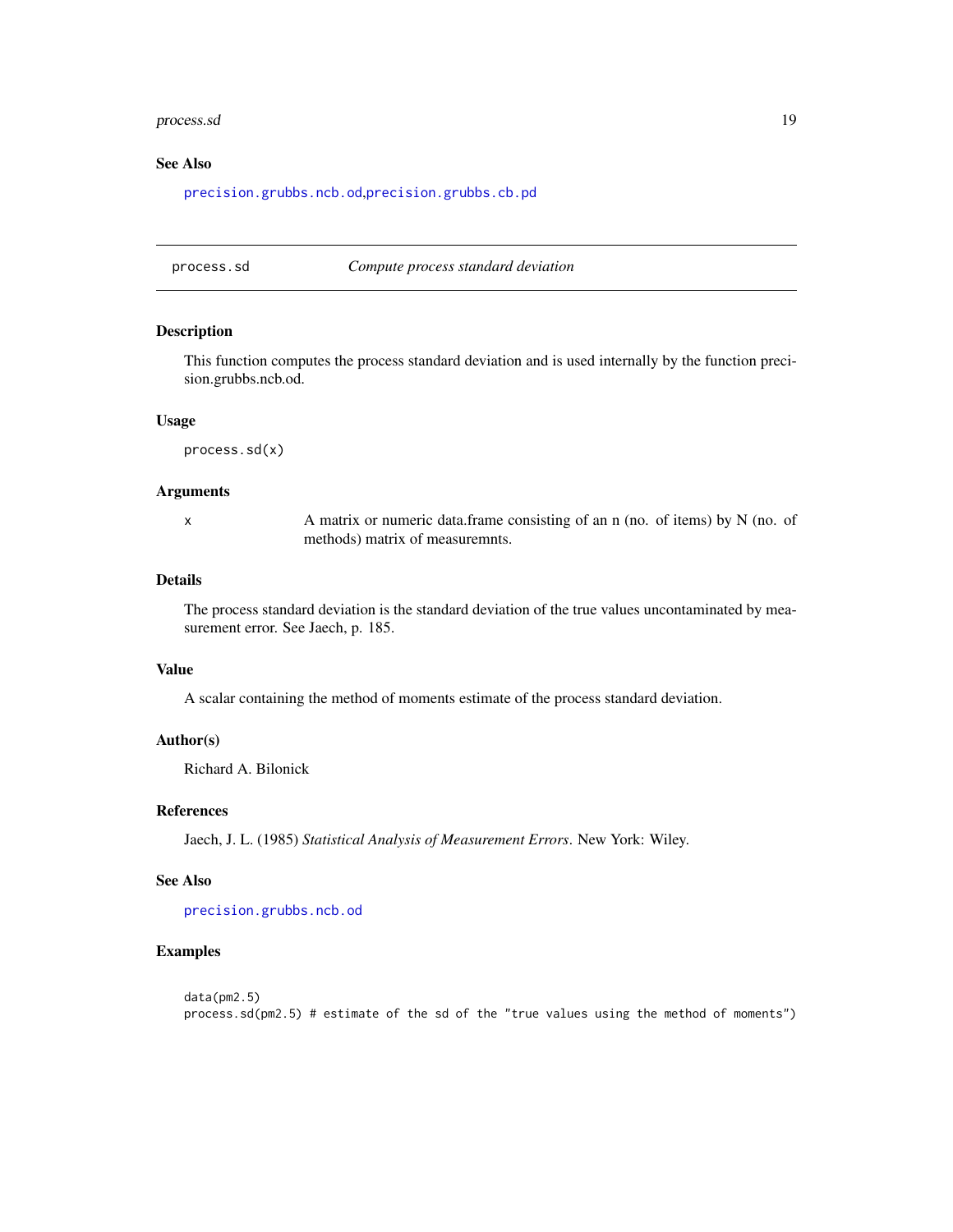#### <span id="page-18-0"></span>process.sd and the set of the set of the set of the set of the set of the set of the set of the set of the set of the set of the set of the set of the set of the set of the set of the set of the set of the set of the set o

### See Also

[precision.grubbs.ncb.od](#page-16-1),[precision.grubbs.cb.pd](#page-15-1)

process.sd *Compute process standard deviation*

#### Description

This function computes the process standard deviation and is used internally by the function precision.grubbs.ncb.od.

#### Usage

process.sd(x)

#### **Arguments**

x A matrix or numeric data.frame consisting of an n (no. of items) by N (no. of methods) matrix of measuremnts.

### Details

The process standard deviation is the standard deviation of the true values uncontaminated by measurement error. See Jaech, p. 185.

### Value

A scalar containing the method of moments estimate of the process standard deviation.

### Author(s)

Richard A. Bilonick

#### References

Jaech, J. L. (1985) *Statistical Analysis of Measurement Errors*. New York: Wiley.

### See Also

[precision.grubbs.ncb.od](#page-16-1)

#### Examples

```
data(pm2.5)
process.sd(pm2.5) # estimate of the sd of the "true values using the method of moments")
```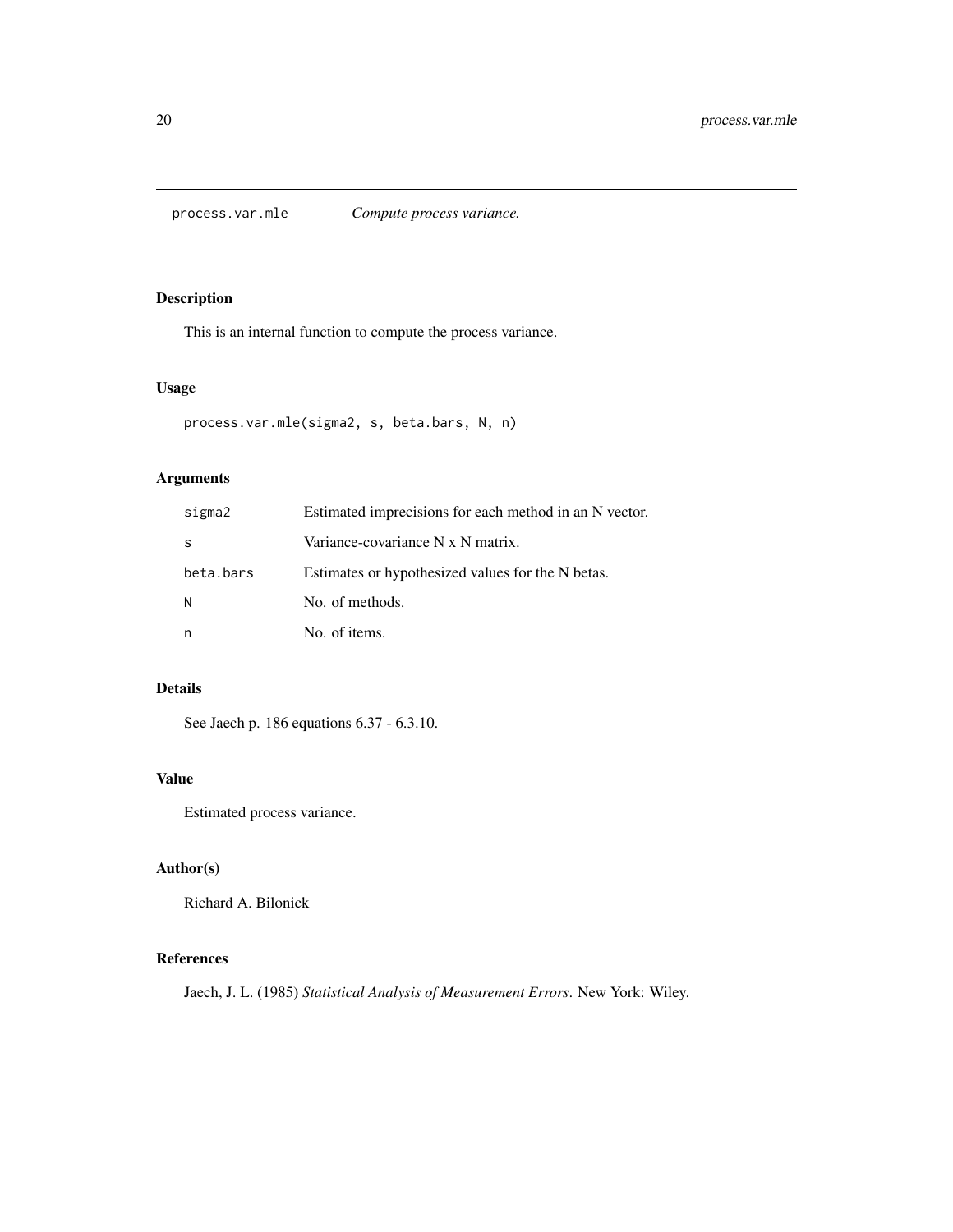<span id="page-19-0"></span>process.var.mle *Compute process variance.*

### Description

This is an internal function to compute the process variance.

#### Usage

```
process.var.mle(sigma2, s, beta.bars, N, n)
```
### Arguments

| sigma2    | Estimated imprecisions for each method in an N vector. |
|-----------|--------------------------------------------------------|
| S         | Variance-covariance N x N matrix.                      |
| beta.bars | Estimates or hypothesized values for the N betas.      |
| N         | No. of methods.                                        |
| n         | No. of items.                                          |

### Details

See Jaech p. 186 equations 6.37 - 6.3.10.

### Value

Estimated process variance.

# Author(s)

Richard A. Bilonick

# References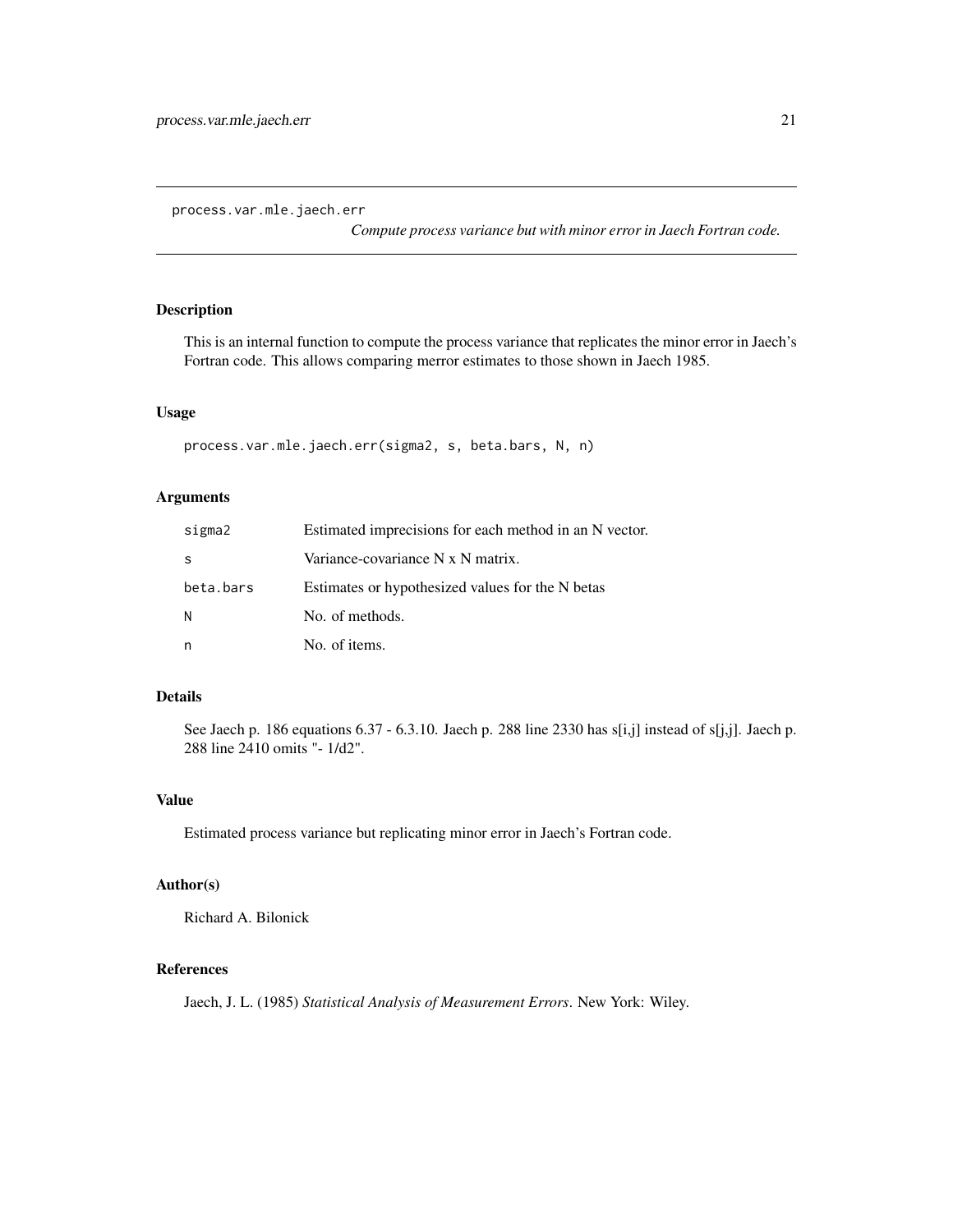<span id="page-20-0"></span>process.var.mle.jaech.err

*Compute process variance but with minor error in Jaech Fortran code.*

# Description

This is an internal function to compute the process variance that replicates the minor error in Jaech's Fortran code. This allows comparing merror estimates to those shown in Jaech 1985.

### Usage

```
process.var.mle.jaech.err(sigma2, s, beta.bars, N, n)
```
### Arguments

| sigma2    | Estimated imprecisions for each method in an N vector. |
|-----------|--------------------------------------------------------|
| S         | Variance-covariance N x N matrix.                      |
| beta.bars | Estimates or hypothesized values for the N betas       |
| N         | No. of methods.                                        |
| n         | No. of items.                                          |

### Details

See Jaech p. 186 equations 6.37 - 6.3.10. Jaech p. 288 line 2330 has s[i,j] instead of s[j,j]. Jaech p. 288 line 2410 omits "- 1/d2".

#### Value

Estimated process variance but replicating minor error in Jaech's Fortran code.

### Author(s)

Richard A. Bilonick

### References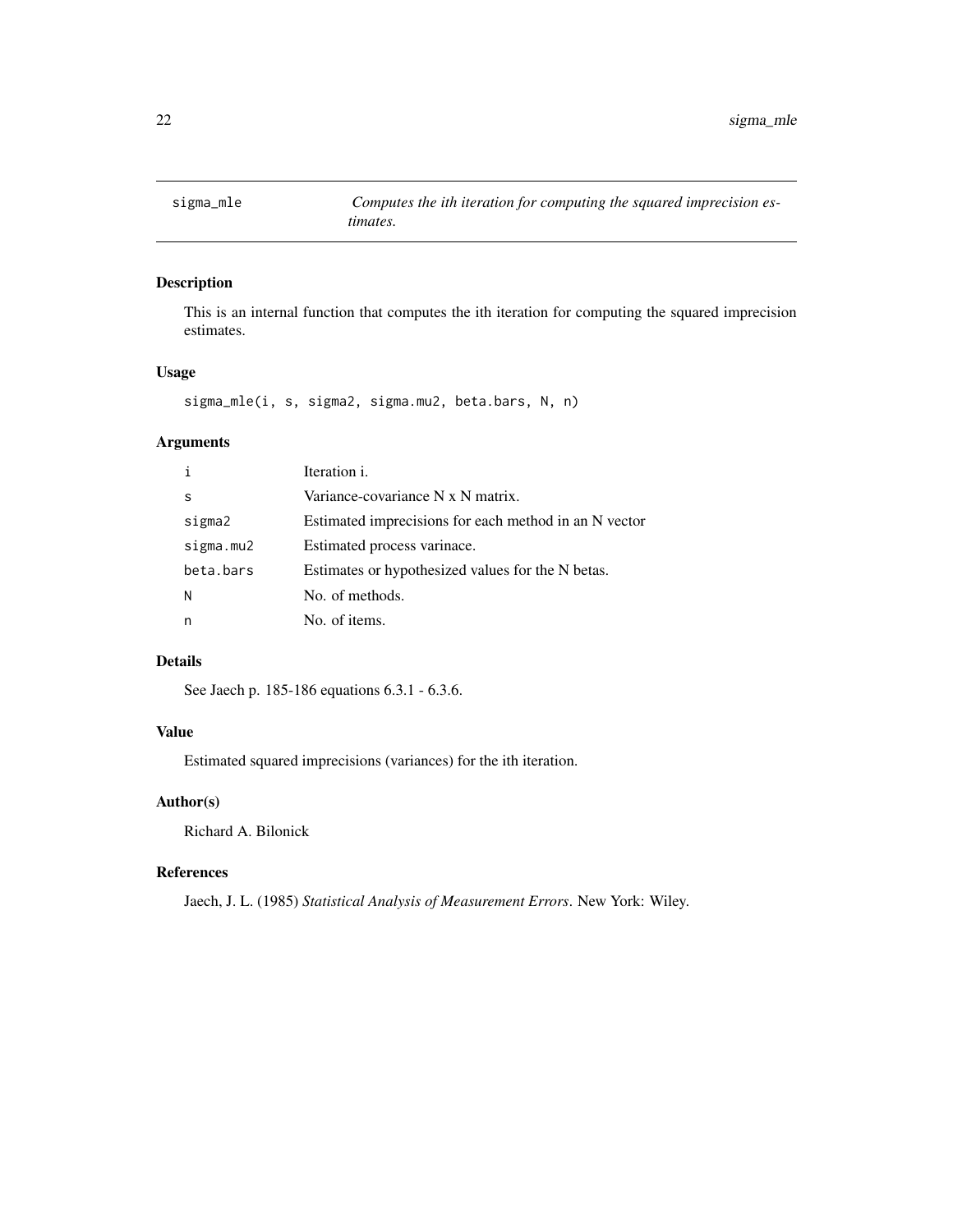<span id="page-21-0"></span>

### Description

This is an internal function that computes the ith iteration for computing the squared imprecision estimates.

### Usage

sigma\_mle(i, s, sigma2, sigma.mu2, beta.bars, N, n)

### Arguments

| $\mathbf{i}$ | Iteration i.                                          |
|--------------|-------------------------------------------------------|
| S            | Variance-covariance N x N matrix.                     |
| sigma2       | Estimated imprecisions for each method in an N vector |
| sigma.mu2    | Estimated process varinace.                           |
| beta.bars    | Estimates or hypothesized values for the N betas.     |
| N            | No. of methods.                                       |
| n            | No. of items.                                         |

### Details

See Jaech p. 185-186 equations 6.3.1 - 6.3.6.

### Value

Estimated squared imprecisions (variances) for the ith iteration.

### Author(s)

Richard A. Bilonick

### References